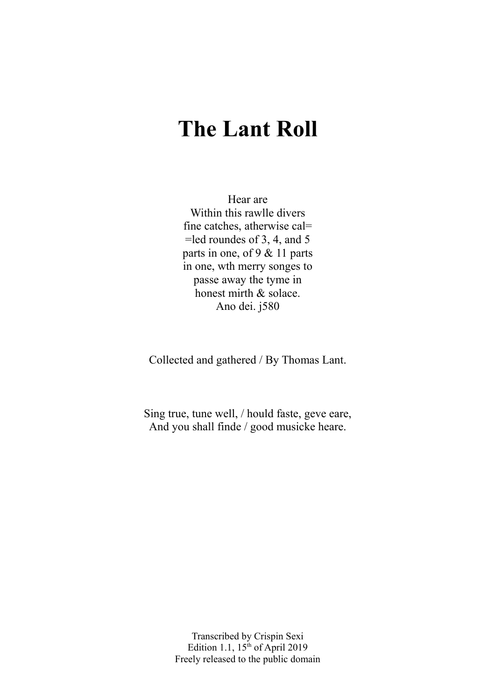# **The Lant Roll**

Hear are Within this rawlle divers fine catches, atherwise cal= =led roundes of 3, 4, and 5 parts in one, of 9 & 11 parts in one, wth merry songes to passe away the tyme in honest mirth & solace. Ano dei. j580

Collected and gathered / By Thomas Lant.

Sing true, tune well, / hould faste, geve eare, And you shall finde / good musicke heare.

> Transcribed by Crispin Sexi Edition 1.1,  $15<sup>th</sup>$  of April 2019 Freely released to the public domain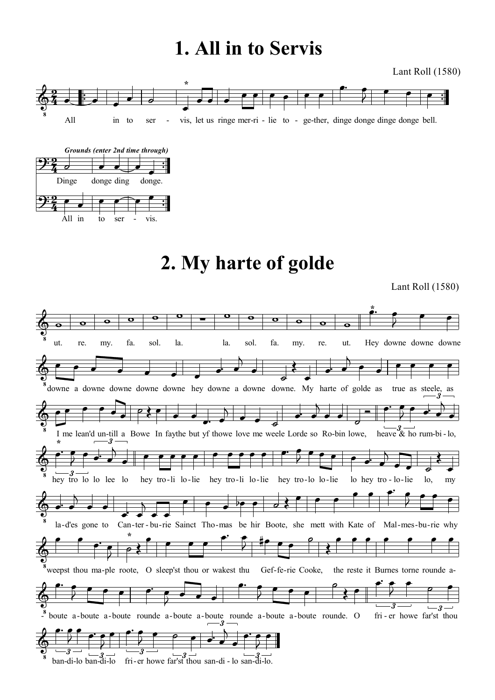# **1. All in to Servis**

Lant Roll (1580)





# **2. My harte of golde**

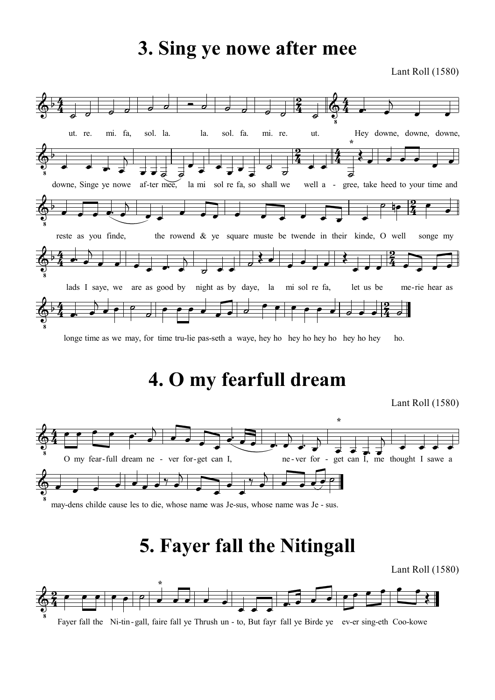## **3. Sing ye nowe after mee**

Lant Roll (1580)



longe time as we may, for time tru-lie pas-seth a waye, hey ho hey ho hey ho hey ho hey ho.

## **4. O my fearfull dream**

Lant Roll (1580)



may-dens childe cause les to die, whose name was Je-sus, whose name was Je - sus.

## **5. Fayer fall the Nitingall**

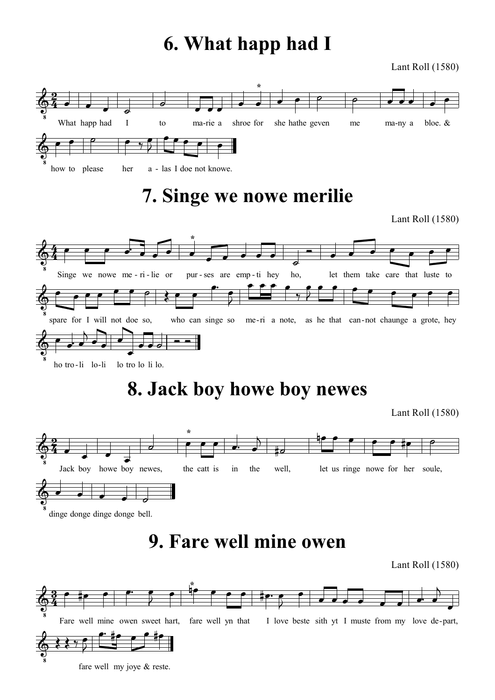# **6. What happ had I**

Lant Roll (1580)



Fare well mine owen sweet hart, fare well yn that I love beste sith yt I muste from my love de-part,

fare well my joye & reste.

 $\breve \Phi$  $\frac{1}{8}$ 

 $3345$ 

 $\overline{2}$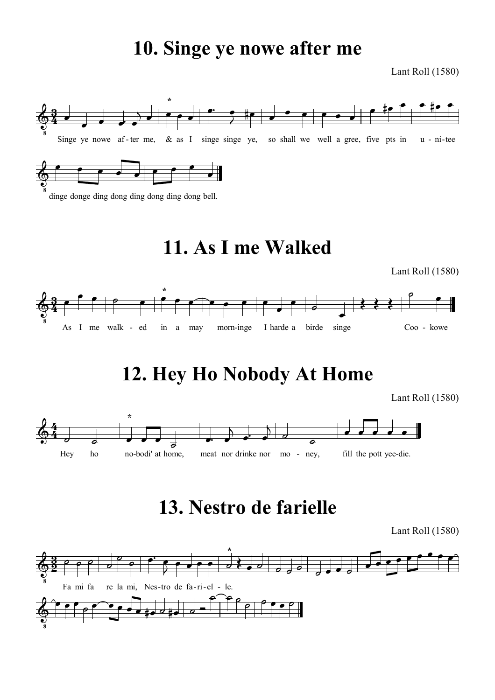# **10. Singe ye nowe after me**

Lant Roll (1580)



dinge donge ding dong ding dong ding dong bell.

# **11. As I me Walked**

Lant Roll (1580)



# **12. Hey Ho Nobody At Home**

Lant Roll (1580)



# **13. Nestro de farielle**

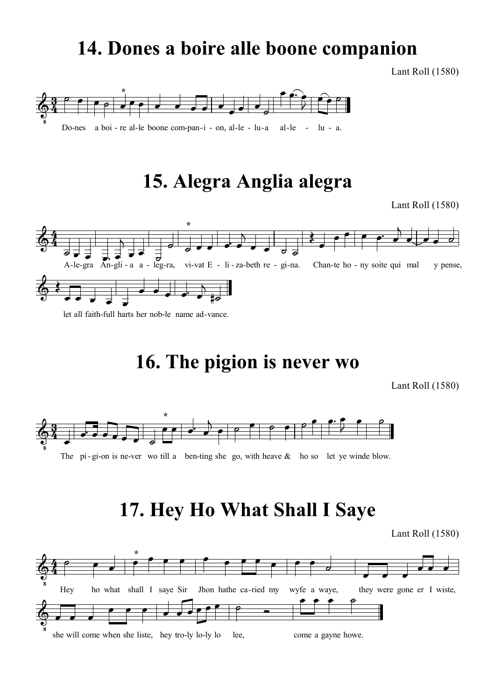## **14. Dones a boire alle boone companion**

Lant Roll (1580)



# **15. Alegra Anglia alegra**

Lant Roll (1580)



let all faith-full harts her nob-le name ad-vance.

# **16. The pigion is never wo**

Lant Roll (1580)



The pi-gi-on is ne-ver wo till a ben-ting she go, with heave  $\&$  ho so let ye winde blow.

# **17. Hey Ho What Shall I Saye**

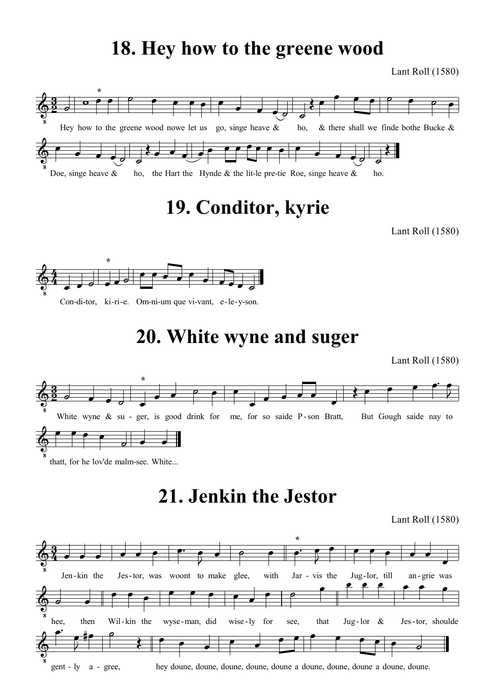### **18. Hey how to the greene wood**

Lant Roll (1580)



## **19. Conditor, kyrie**

Lant Roll (1580)



Con-di-tor, ki-ri-e. Om-ni-um que vi-vant, e-le-y-son.

## **20. White wyne and suger**

Lant Roll (1580)



thatt, for he lov'de malm-see. White...

# **21. Jenkin the Jestor**

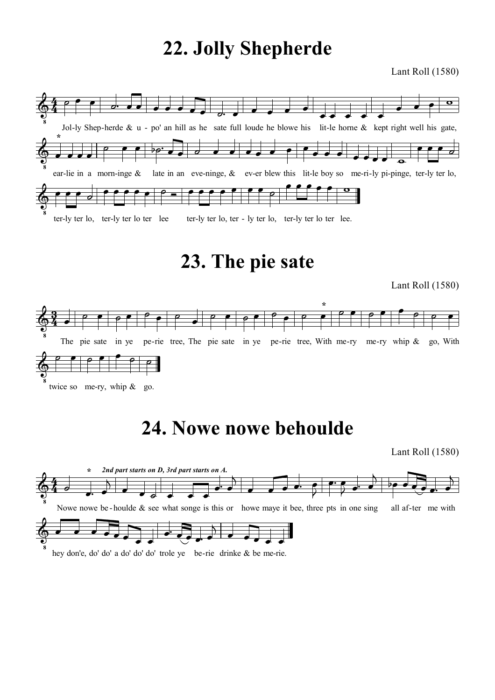# **22. Jolly Shepherde**

Lant Roll (1580)



## **23. The pie sate**

Lant Roll (1580)



## **24. Nowe nowe behoulde**

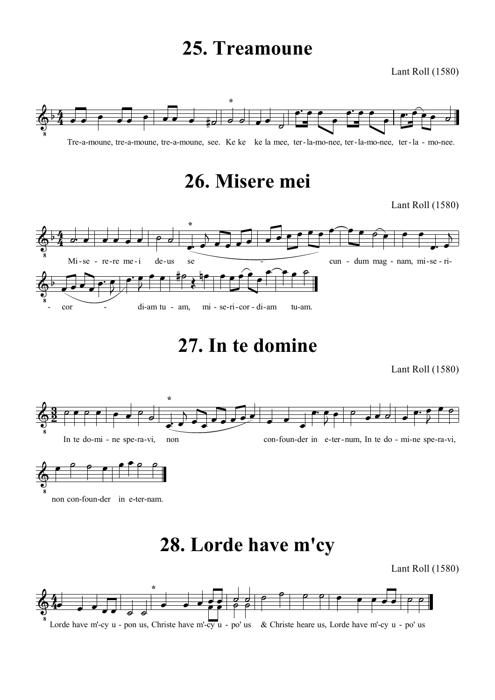## **25. Treamoune**

Lant Roll (1580)



## **26. Misere mei**

Lant Roll (1580)



**27. In te domine**

Lant Roll (1580)





**28. Lorde have m'cy**

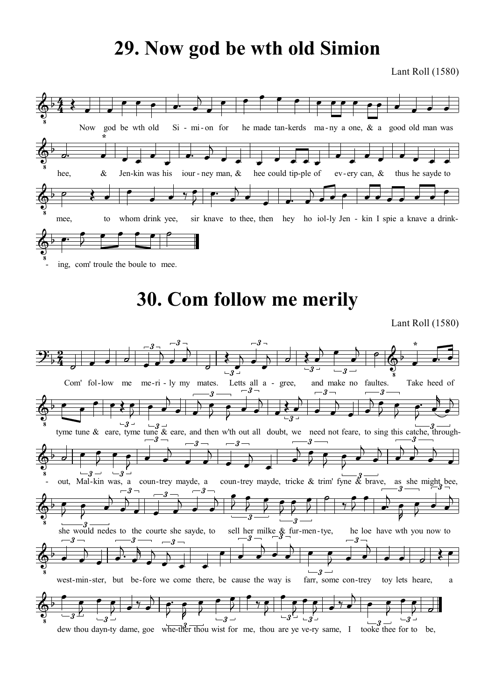## **29. Now god be wth old Simion**

Lant Roll (1580)



# **30. Com follow me merily**

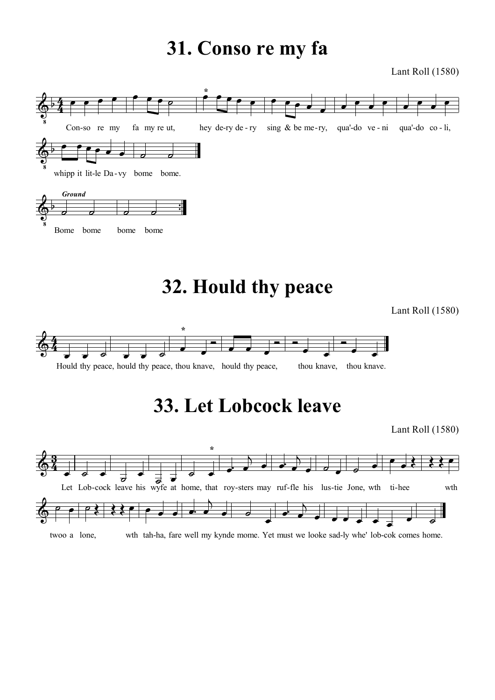## **31. Conso re my fa**

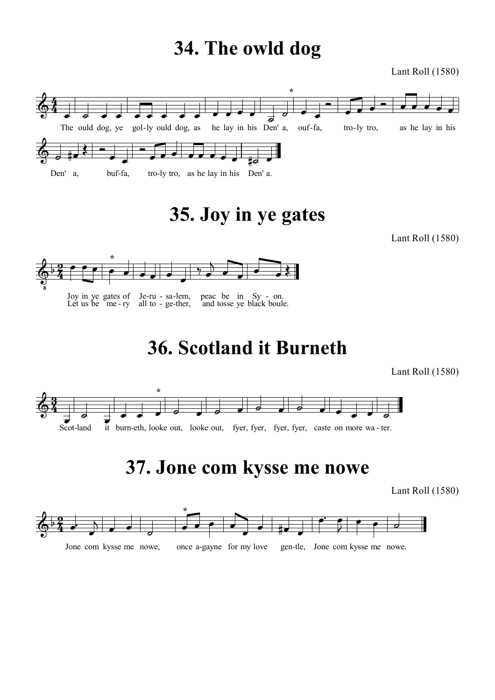# **34. The owld dog**

Lant Roll (1580)



**35. Joy in ye gates**

Lant Roll (1580)



**36. Scotland it Burneth**

Lant Roll (1580)



# **37. Jone com kysse me nowe**

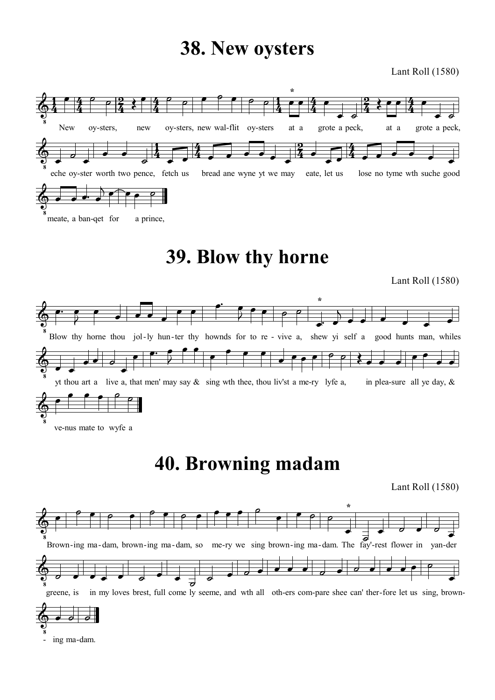### **38. New oysters**

Lant Roll (1580)



# **39. Blow thy horne**

Lant Roll (1580)



ve-nus mate to wyfe a

- ing ma-dam.

# **40. Browning madam**

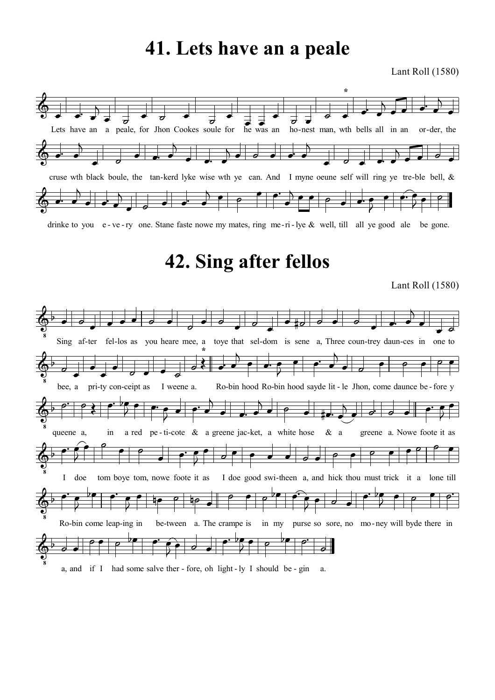### **41. Lets have an a peale**

Lant Roll (1580)



drinke to you e - ve - ry one. Stane faste nowe my mates, ring me-ri-lye & well, till all ye good ale be gone.

## **42. Sing after fellos**

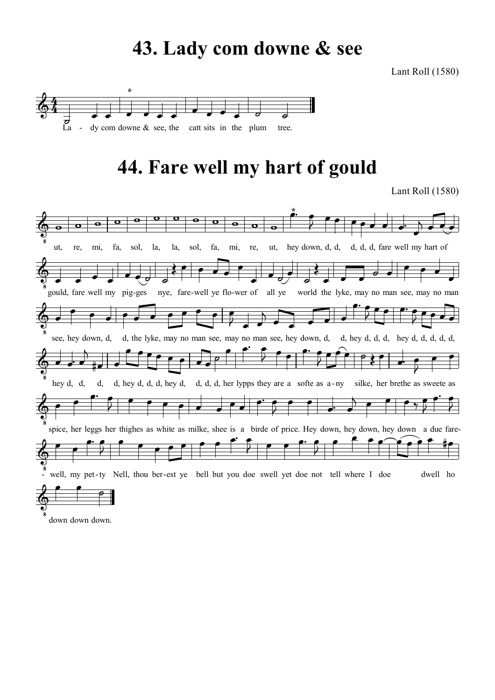## **43. Lady com downe & see**

Lant Roll (1580)



# **44. Fare well my hart of gould**

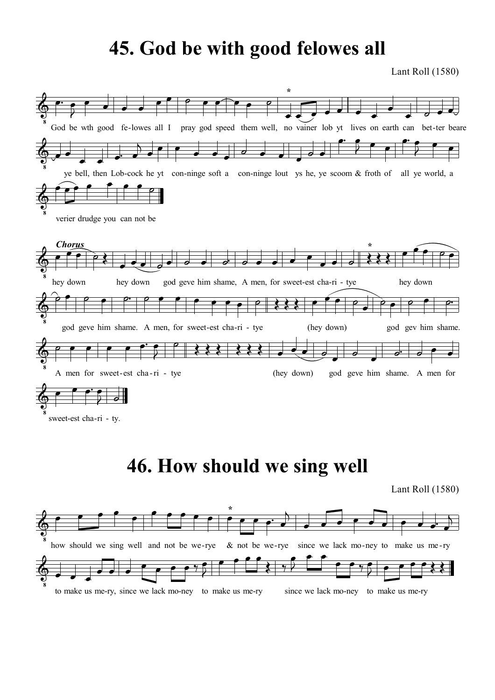## **45. God be with good felowes all**

Lant Roll (1580)

![](_page_15_Figure_2.jpeg)

sweet-est cha-ri - ty.

# **46. How should we sing well**

![](_page_15_Figure_6.jpeg)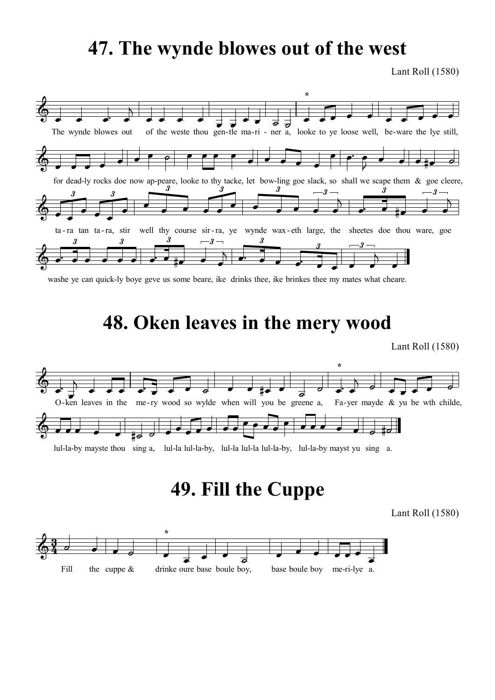## **47. The wynde blowes out of the west**

Lant Roll (1580)

![](_page_16_Figure_2.jpeg)

washe ye can quick-ly boye geve us some beare, ike drinks thee, ike brinkes thee my mates what cheare.

### **48. Oken leaves in the mery wood**

Lant Roll (1580)

![](_page_16_Figure_6.jpeg)

lul-la-by mayste thou sing a, lul-la lul-la-by, lul-la lul-la lul-la-by, lul-la-by mayst yu sing a.

# **49. Fill the Cuppe**

![](_page_16_Figure_10.jpeg)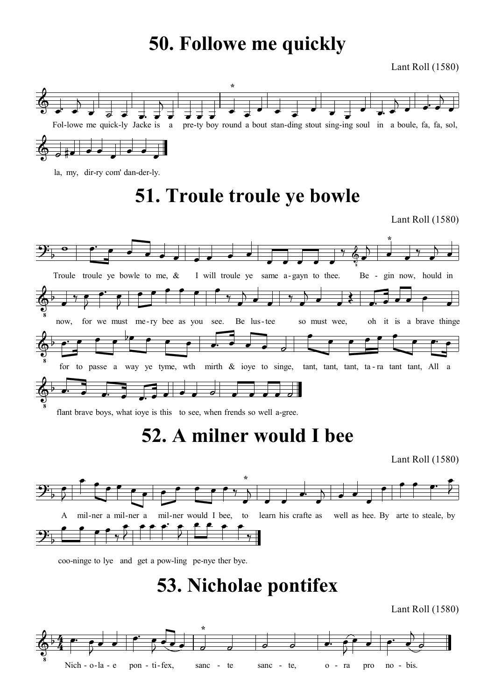## **50. Followe me quickly**

Lant Roll (1580)

![](_page_17_Figure_2.jpeg)

la, my, dir-ry com' dan-der-ly.

# **51. Troule troule ye bowle**

Lant Roll (1580)

![](_page_17_Figure_6.jpeg)

flant brave boys, what ioye is this to see, when frends so well a-gree.

## **52. A milner would I bee**

Lant Roll (1580)

![](_page_17_Figure_10.jpeg)

coo-ninge to lye and get a pow-ling pe-nye ther bye.

## **53. Nicholae pontifex**

![](_page_17_Figure_14.jpeg)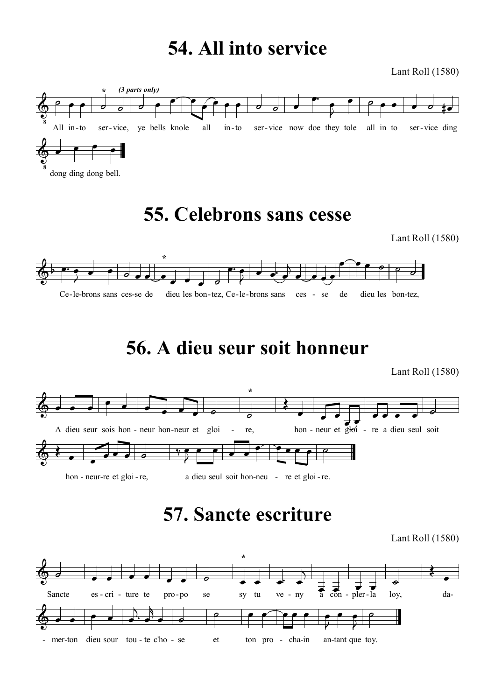## **54. All into service**

Lant Roll (1580)

![](_page_18_Figure_2.jpeg)

## **55. Celebrons sans cesse**

Lant Roll (1580)

![](_page_18_Figure_5.jpeg)

# **56. A dieu seur soit honneur**

Lant Roll (1580)

![](_page_18_Figure_8.jpeg)

# **57. Sancte escriture**

![](_page_18_Figure_11.jpeg)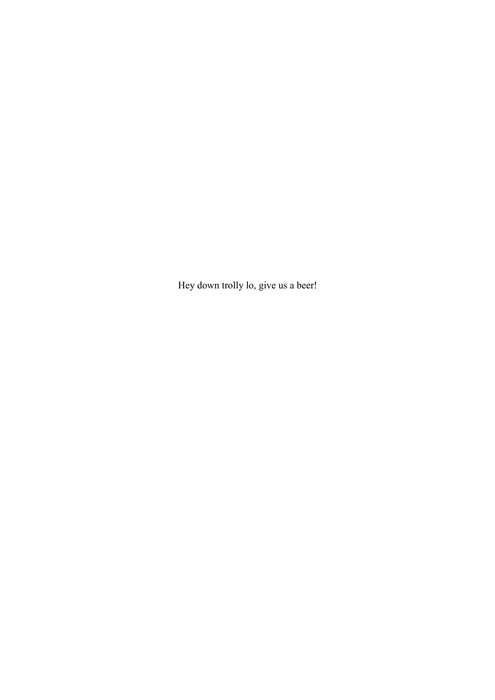Hey down trolly lo, give us a beer!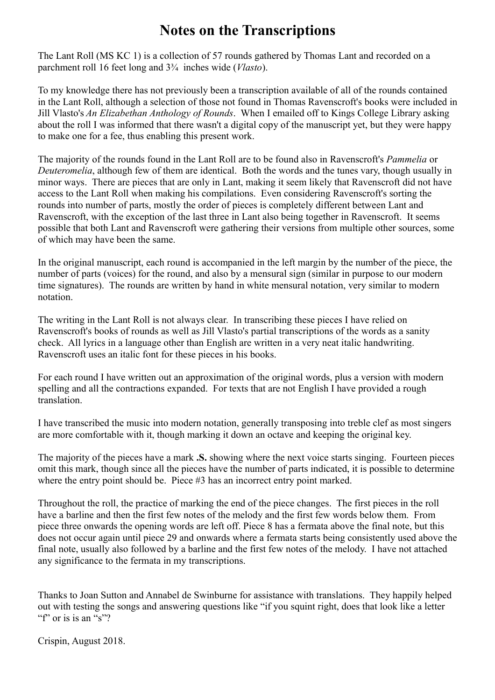### **Notes on the Transcriptions**

The Lant Roll (MS KC 1) is a collection of 57 rounds gathered by Thomas Lant and recorded on a parchment roll 16 feet long and 3¾ inches wide (*Vlasto*).

To my knowledge there has not previously been a transcription available of all of the rounds contained in the Lant Roll, although a selection of those not found in Thomas Ravenscroft's books were included in Jill Vlasto's *An Elizabethan Anthology of Rounds*. When I emailed off to Kings College Library asking about the roll I was informed that there wasn't a digital copy of the manuscript yet, but they were happy to make one for a fee, thus enabling this present work.

The majority of the rounds found in the Lant Roll are to be found also in Ravenscroft's *Pammelia* or *Deuteromelia*, although few of them are identical. Both the words and the tunes vary, though usually in minor ways. There are pieces that are only in Lant, making it seem likely that Ravenscroft did not have access to the Lant Roll when making his compilations. Even considering Ravenscroft's sorting the rounds into number of parts, mostly the order of pieces is completely different between Lant and Ravenscroft, with the exception of the last three in Lant also being together in Ravenscroft. It seems possible that both Lant and Ravenscroft were gathering their versions from multiple other sources, some of which may have been the same.

In the original manuscript, each round is accompanied in the left margin by the number of the piece, the number of parts (voices) for the round, and also by a mensural sign (similar in purpose to our modern time signatures). The rounds are written by hand in white mensural notation, very similar to modern notation.

The writing in the Lant Roll is not always clear. In transcribing these pieces I have relied on Ravenscroft's books of rounds as well as Jill Vlasto's partial transcriptions of the words as a sanity check. All lyrics in a language other than English are written in a very neat italic handwriting. Ravenscroft uses an italic font for these pieces in his books.

For each round I have written out an approximation of the original words, plus a version with modern spelling and all the contractions expanded. For texts that are not English I have provided a rough translation.

I have transcribed the music into modern notation, generally transposing into treble clef as most singers are more comfortable with it, though marking it down an octave and keeping the original key.

The majority of the pieces have a mark **.S.** showing where the next voice starts singing. Fourteen pieces omit this mark, though since all the pieces have the number of parts indicated, it is possible to determine where the entry point should be. Piece #3 has an incorrect entry point marked.

Throughout the roll, the practice of marking the end of the piece changes. The first pieces in the roll have a barline and then the first few notes of the melody and the first few words below them. From piece three onwards the opening words are left off. Piece 8 has a fermata above the final note, but this does not occur again until piece 29 and onwards where a fermata starts being consistently used above the final note, usually also followed by a barline and the first few notes of the melody. I have not attached any significance to the fermata in my transcriptions.

Thanks to Joan Sutton and Annabel de Swinburne for assistance with translations. They happily helped out with testing the songs and answering questions like "if you squint right, does that look like a letter "f" or is is an "s"?"

Crispin, August 2018.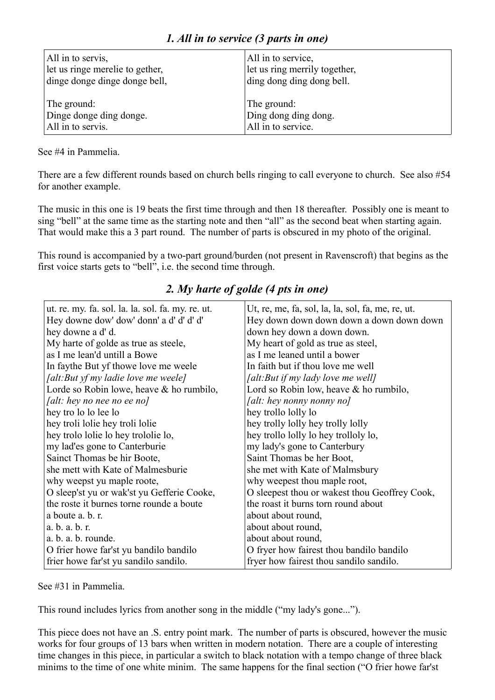| All in to servis,               | All in to service,            |
|---------------------------------|-------------------------------|
| let us ringe merelie to gether, | let us ring merrily together, |
| dinge donge dinge donge bell,   | ding dong ding dong bell.     |
| The ground:                     | The ground:                   |
| Dinge donge ding donge.         | Ding dong ding dong.          |
| All in to servis.               | All in to service.            |

See #4 in Pammelia.

There are a few different rounds based on church bells ringing to call everyone to church. See also #54 for another example.

The music in this one is 19 beats the first time through and then 18 thereafter. Possibly one is meant to sing "bell" at the same time as the starting note and then "all" as the second beat when starting again. That would make this a 3 part round. The number of parts is obscured in my photo of the original.

This round is accompanied by a two-part ground/burden (not present in Ravenscroft) that begins as the first voice starts gets to "bell", i.e. the second time through.

| ut. re. my. fa. sol. la. la. sol. fa. my. re. ut. | Ut, re, me, fa, sol, la, la, sol, fa, me, re, ut. |
|---------------------------------------------------|---------------------------------------------------|
| Hey downe dow' dow' donn' a d' d' d' d'           | Hey down down down down a down down down          |
| hey downe a d' d.                                 | down hey down a down down.                        |
| My harte of golde as true as steele,              | My heart of gold as true as steel,                |
| as I me lean'd untill a Bowe                      | as I me leaned until a bower                      |
| In faythe But yf thowe love me weele              | In faith but if thou love me well                 |
| [alt:But yf my ladie love me weele]               | [alt:But if my lady love me well]                 |
| Lorde so Robin lowe, heave & ho rumbilo,          | Lord so Robin low, heave $&$ ho rumbilo,          |
| <i>[alt: hey no nee no ee no]</i>                 | [alt: hey nonny nonny no]                         |
| hey tro lo lo lee lo                              | hey trollo lolly lo                               |
| hey troli lolie hey troli lolie                   | hey trolly lolly hey trolly lolly                 |
| hey trolo lolie lo hey trololie lo,               | hey trollo lolly lo hey trolloly lo,              |
| my lad'es gone to Canterburie                     | my lady's gone to Canterbury                      |
| Sainct Thomas be hir Boote,                       | Saint Thomas be her Boot,                         |
| she mett with Kate of Malmesburie                 | she met with Kate of Malmsbury                    |
| why weepst yu maple roote,                        | why weepest thou maple root,                      |
| O sleep'st yu or wak'st yu Gefferie Cooke,        | O sleepest thou or wakest thou Geoffrey Cook,     |
| the roste it burnes torne rounde a boute          | the roast it burns torn round about               |
| a boute a. b. r.                                  | about about round,                                |
| a. b. a. b. r.                                    | about about round,                                |
| a. b. a. b. rounde.                               | about about round,                                |
| O frier howe far'st yu bandilo bandilo            | O fryer how fairest thou bandilo bandilo          |
| frier howe far'st yu sandilo sandilo.             | fryer how fairest thou sandilo sandilo.           |

### *2. My harte of golde (4 pts in one)*

See #31 in Pammelia.

This round includes lyrics from another song in the middle ("my lady's gone...").

This piece does not have an .S. entry point mark. The number of parts is obscured, however the music works for four groups of 13 bars when written in modern notation. There are a couple of interesting time changes in this piece, in particular a switch to black notation with a tempo change of three black minims to the time of one white minim. The same happens for the final section ("O frier howe far'st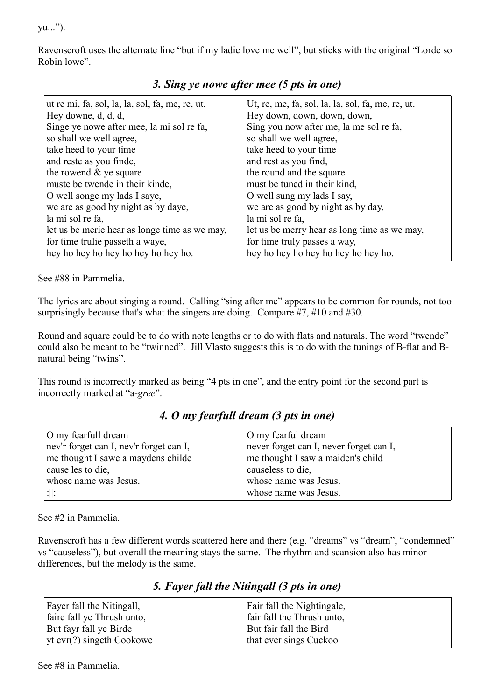yu...").

Ravenscroft uses the alternate line "but if my ladie love me well", but sticks with the original "Lorde so Robin lowe".

| ut re mi, fa, sol, la, la, sol, fa, me, re, ut. | Ut, re, me, fa, sol, la, la, sol, fa, me, re, ut. |
|-------------------------------------------------|---------------------------------------------------|
| Hey downe, d, d, d,                             | Hey down, down, down, down,                       |
| Singe ye nowe after mee, la mi sol re fa,       | Sing you now after me, la me sol re fa,           |
| so shall we well agree,                         | so shall we well agree,                           |
| take heed to your time                          | take heed to your time                            |
| and reste as you finde,                         | and rest as you find,                             |
| the rowend $&$ ye square                        | the round and the square                          |
| muste be twende in their kinde,                 | must be tuned in their kind,                      |
| O well songe my lads I saye,                    | O well sung my lads I say,                        |
| we are as good by night as by daye,             | we are as good by night as by day,                |
| la mi sol re fa,                                | la mi sol re fa,                                  |
| let us be merie hear as longe time as we may,   | let us be merry hear as long time as we may,      |
| for time trulie passeth a waye,                 | for time truly passes a way,                      |
| hey ho hey ho hey ho hey ho.                    | hey ho hey ho hey ho hey ho.                      |

### *3. Sing ye nowe after mee (5 pts in one)*

See #88 in Pammelia.

The lyrics are about singing a round. Calling "sing after me" appears to be common for rounds, not too surprisingly because that's what the singers are doing. Compare #7, #10 and #30.

Round and square could be to do with note lengths or to do with flats and naturals. The word "twende" could also be meant to be "twinned". Jill Vlasto suggests this is to do with the tunings of B-flat and Bnatural being "twins".

This round is incorrectly marked as being "4 pts in one", and the entry point for the second part is incorrectly marked at "a-*gree*".

### *4. O my fearfull dream (3 pts in one)* O my fearful dream

| O my fearfull dream                     | O my fearful dream                      |
|-----------------------------------------|-----------------------------------------|
| nev'r forget can I, nev'r forget can I, | never forget can I, never forget can I, |
| me thought I sawe a maydens childe      | me thought I saw a maiden's child       |
| cause les to die,                       | causeless to die,                       |
| whose name was Jesus.                   | whose name was Jesus.                   |
| : $\parallel$ :                         | whose name was Jesus.                   |

See #2 in Pammelia.

Ravenscroft has a few different words scattered here and there (e.g. "dreams" vs "dream", "condemned" vs "causeless"), but overall the meaning stays the same. The rhythm and scansion also has minor differences, but the melody is the same.

### *5. Fayer fall the Nitingall (3 pts in one)*

| Fayer fall the Nitingall,         | Fair fall the Nightingale, |
|-----------------------------------|----------------------------|
| faire fall ye Thrush unto,        | fair fall the Thrush unto, |
| But fayr fall ye Birde            | But fair fall the Bird     |
| $\vert$ yt evr(?) singeth Cookowe | that ever sings Cuckoo     |

See #8 in Pammelia.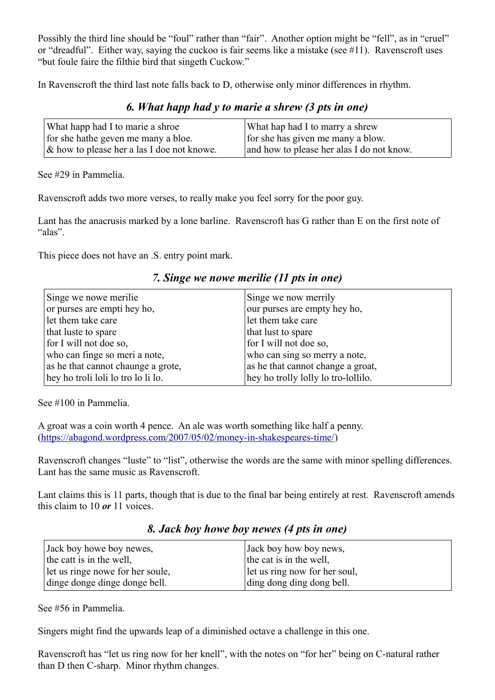Possibly the third line should be "foul" rather than "fair". Another option might be "fell", as in "cruel" or "dreadful". Either way, saying the cuckoo is fair seems like a mistake (see #11). Ravenscroft uses "but foule faire the filthie bird that singeth Cuckow."

In Ravenscroft the third last note falls back to D, otherwise only minor differences in rhythm.

#### *6. What happ had y to marie a shrew (3 pts in one)*

| What happ had I to marie a shroe              | What hap had I to marry a shrew           |
|-----------------------------------------------|-------------------------------------------|
| for she hathe geven me many a bloe.           | for she has given me many a blow.         |
| $\&$ how to please her a las I doe not knowe. | and how to please her alas I do not know. |

See #29 in Pammelia.

Ravenscroft adds two more verses, to really make you feel sorry for the poor guy.

Lant has the anacrusis marked by a lone barline. Ravenscroft has G rather than E on the first note of "alas".

This piece does not have an .S. entry point mark.

|  |  |  |  |  | 7. Singe we nowe merilie (11 pts in one) |  |  |  |  |  |
|--|--|--|--|--|------------------------------------------|--|--|--|--|--|
|--|--|--|--|--|------------------------------------------|--|--|--|--|--|

| Singe we nowe merilie              | Singe we now merrily                |
|------------------------------------|-------------------------------------|
| or purses are empti hey ho,        | our purses are empty hey ho,        |
| let them take care                 | let them take care                  |
| that luste to spare                | that lust to spare                  |
| for I will not doe so,             | for I will not doe so,              |
| who can finge so meri a note,      | who can sing so merry a note,       |
| as he that cannot chaunge a grote, | as he that cannot change a groat,   |
| hey ho troli loli lo tro lo li lo. | hey ho trolly lolly lo tro-lollilo. |

See #100 in Pammelia.

A groat was a coin worth 4 pence. An ale was worth something like half a penny. [\(https://abagond.wordpress.com/2007/05/02/money-in-shakespeares-time/\)](https://abagond.wordpress.com/2007/05/02/money-in-shakespeares-time/)

Ravenscroft changes "luste" to "list", otherwise the words are the same with minor spelling differences. Lant has the same music as Ravenscroft.

Lant claims this is 11 parts, though that is due to the final bar being entirely at rest. Ravenscroft amends this claim to 10 *or* 11 voices.

| Jack boy howe boy newes,         | Jack boy how boy news,        |
|----------------------------------|-------------------------------|
| the catt is in the well,         | the cat is in the well,       |
| let us ringe nowe for her soule, | let us ring now for her soul, |
| dinge donge dinge donge bell.    | ding dong ding dong bell.     |

*8. Jack boy howe boy newes (4 pts in one)*

See #56 in Pammelia.

Singers might find the upwards leap of a diminished octave a challenge in this one.

Ravenscroft has "let us ring now for her knell", with the notes on "for her" being on C-natural rather than D then C-sharp. Minor rhythm changes.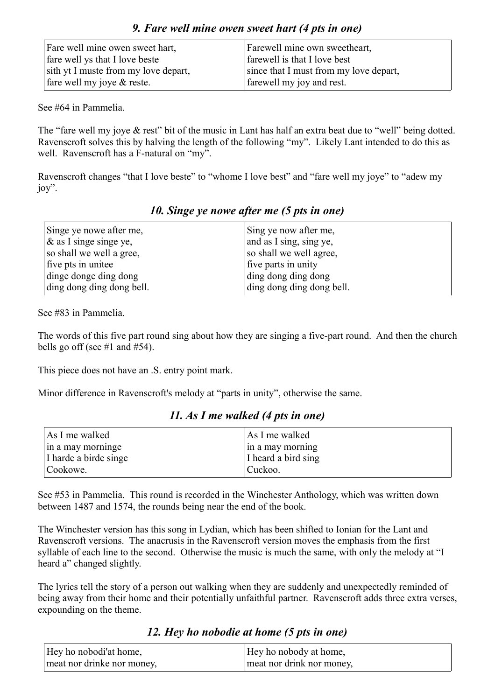| Fare well mine owen sweet hart,      | Farewell mine own sweetheart,          |
|--------------------------------------|----------------------------------------|
| fare well ys that I love beste       | farewell is that I love best           |
| sith yt I muste from my love depart, | since that I must from my love depart, |
| fare well my joye $&$ reste.         | farewell my joy and rest.              |

*9. Fare well mine owen sweet hart (4 pts in one)*

See #64 in Pammelia.

The "fare well my joye & rest" bit of the music in Lant has half an extra beat due to "well" being dotted. Ravenscroft solves this by halving the length of the following "my". Likely Lant intended to do this as well. Ravenscroft has a F-natural on "my".

Ravenscroft changes "that I love beste" to "whome I love best" and "fare well my joye" to "adew my joy".

| Singe ye nowe after me,   | Sing ye now after me,     |
|---------------------------|---------------------------|
| $\&$ as I singe singe ye, | and as I sing, sing ye,   |
| so shall we well a gree,  | so shall we well agree,   |
| five pts in unitee        | five parts in unity       |
| dinge donge ding dong     | ding dong ding dong       |
| ding dong ding dong bell. | ding dong ding dong bell. |

#### *10. Singe ye nowe after me (5 pts in one)*

See #83 in Pammelia.

The words of this five part round sing about how they are singing a five-part round. And then the church bells go off (see  $\#1$  and  $\#54$ ).

This piece does not have an .S. entry point mark.

Minor difference in Ravenscroft's melody at "parts in unity", otherwise the same.

| As I me walked        | As I me walked      |
|-----------------------|---------------------|
| in a may morninge     | in a may morning    |
| I harde a birde singe | I heard a bird sing |
| Cookowe.              | Cuckoo.             |

#### *11. As I me walked (4 pts in one)*

See #53 in Pammelia. This round is recorded in the Winchester Anthology, which was written down between 1487 and 1574, the rounds being near the end of the book.

The Winchester version has this song in Lydian, which has been shifted to Ionian for the Lant and Ravenscroft versions. The anacrusis in the Ravenscroft version moves the emphasis from the first syllable of each line to the second. Otherwise the music is much the same, with only the melody at "I heard a" changed slightly.

The lyrics tell the story of a person out walking when they are suddenly and unexpectedly reminded of being away from their home and their potentially unfaithful partner. Ravenscroft adds three extra verses, expounding on the theme.

### *12. Hey ho nobodie at home (5 pts in one)*

| Hey ho nobodi'at home,     | Hey ho nobody at home,    |
|----------------------------|---------------------------|
| meat nor drinke nor money, | meat nor drink nor money, |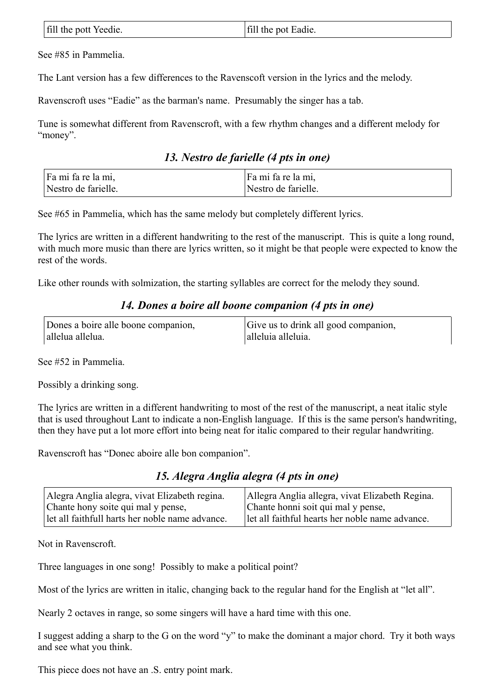| fill the pott Yeedie. | fill the pot Eadie. |
|-----------------------|---------------------|
|                       |                     |

See #85 in Pammelia.

The Lant version has a few differences to the Ravenscoft version in the lyrics and the melody.

Ravenscroft uses "Eadie" as the barman's name. Presumably the singer has a tab.

Tune is somewhat different from Ravenscroft, with a few rhythm changes and a different melody for "money".

*13. Nestro de farielle (4 pts in one)*

| Fa mi fa re la mi,  | Fa mi fa re la mi,  |
|---------------------|---------------------|
| Nestro de farielle. | Nestro de farielle. |

See #65 in Pammelia, which has the same melody but completely different lyrics.

The lyrics are written in a different handwriting to the rest of the manuscript. This is quite a long round, with much more music than there are lyrics written, so it might be that people were expected to know the rest of the words.

Like other rounds with solmization, the starting syllables are correct for the melody they sound.

#### *14. Dones a boire all boone companion (4 pts in one)*

| Dones a boire alle boone companion, | Give us to drink all good companion, |
|-------------------------------------|--------------------------------------|
| allelua allelua.                    | alleluia alleluia.                   |

See #52 in Pammelia.

Possibly a drinking song.

The lyrics are written in a different handwriting to most of the rest of the manuscript, a neat italic style that is used throughout Lant to indicate a non-English language. If this is the same person's handwriting, then they have put a lot more effort into being neat for italic compared to their regular handwriting.

Ravenscroft has "Donec aboire alle bon companion".

*15. Alegra Anglia alegra (4 pts in one)*

| Alegra Anglia alegra, vivat Elizabeth regina.   | Allegra Anglia allegra, vivat Elizabeth Regina. |
|-------------------------------------------------|-------------------------------------------------|
| Chante hony soite qui mal y pense,              | Chante honni soit qui mal y pense,              |
| Let all faithfull harts her noble name advance. | let all faithful hearts her noble name advance. |

Not in Ravenscroft.

Three languages in one song! Possibly to make a political point?

Most of the lyrics are written in italic, changing back to the regular hand for the English at "let all".

Nearly 2 octaves in range, so some singers will have a hard time with this one.

I suggest adding a sharp to the G on the word "y" to make the dominant a major chord. Try it both ways and see what you think.

This piece does not have an .S. entry point mark.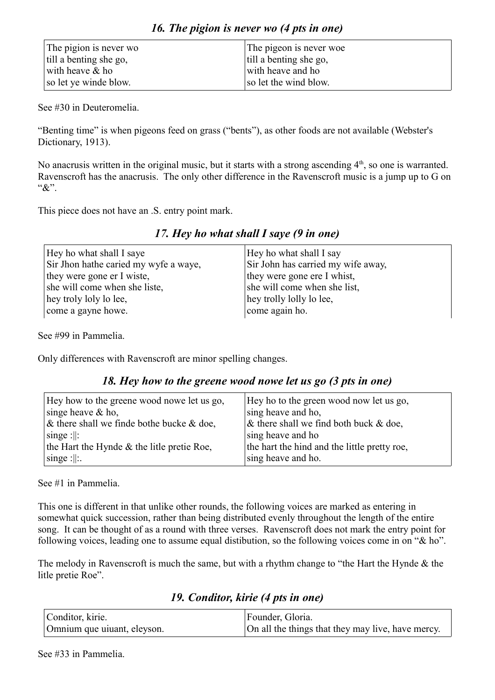*16. The pigion is never wo (4 pts in one)*

See #30 in Deuteromelia.

"Benting time" is when pigeons feed on grass ("bents"), as other foods are not available (Webster's Dictionary, 1913).

No anacrusis written in the original music, but it starts with a strong ascending  $4<sup>th</sup>$ , so one is warranted. Ravenscroft has the anacrusis. The only other difference in the Ravenscroft music is a jump up to G on "&".

This piece does not have an .S. entry point mark.

| Hey ho what shall I saye              | Hey ho what shall I say            |
|---------------------------------------|------------------------------------|
| Sir Jhon hathe caried my wyfe a waye, | Sir John has carried my wife away, |
| they were gone er I wiste,            | they were gone ere I whist,        |
| she will come when she liste,         | she will come when she list,       |
| hey troly loly lo lee,                | hey trolly lolly lo lee,           |
| come a gayne howe.                    | come again ho.                     |

*17. Hey ho what shall I saye (9 in one)*

See #99 in Pammelia.

Only differences with Ravenscroft are minor spelling changes.

#### *18. Hey how to the greene wood nowe let us go (3 pts in one)*

| Hey how to the greene wood nowe let us go,   | Hey ho to the green wood now let us go,      |
|----------------------------------------------|----------------------------------------------|
| singe heave $&$ ho,                          | sing heave and ho,                           |
| $\&$ there shall we finde bothe bucke & doe, | $\&$ there shall we find both buck $\&$ doe, |
| $\vert$ singe : $\vert$ :                    | sing heave and ho                            |
| the Hart the Hynde & the litle pretie Roe,   | the hart the hind and the little pretty roe, |
| $\vert$ singe : $\vert$ :                    | sing heave and ho.                           |

See #1 in Pammelia.

This one is different in that unlike other rounds, the following voices are marked as entering in somewhat quick succession, rather than being distributed evenly throughout the length of the entire song. It can be thought of as a round with three verses. Ravenscroft does not mark the entry point for following voices, leading one to assume equal distibution, so the following voices come in on "& ho".

The melody in Ravenscroft is much the same, but with a rhythm change to "the Hart the Hynde & the litle pretie Roe".

*19. Conditor, kirie (4 pts in one)*

| Conditor, kirie.            | Founder, Gloria.                                  |
|-----------------------------|---------------------------------------------------|
| Omnium que uiuant, eleyson. | On all the things that they may live, have mercy. |

See #33 in Pammelia.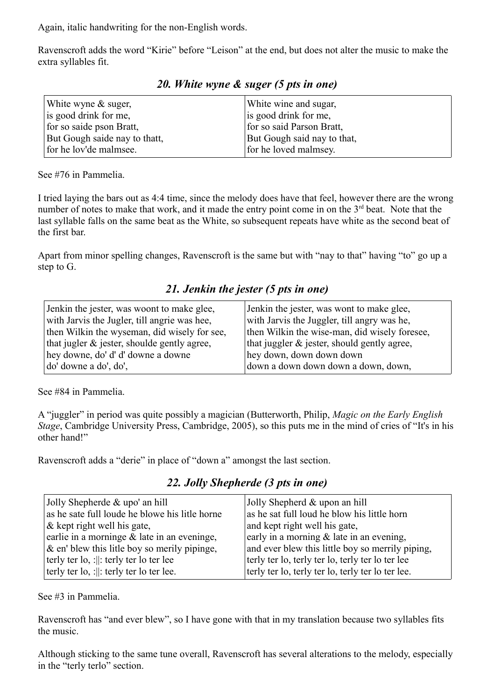Again, italic handwriting for the non-English words.

Ravenscroft adds the word "Kirie" before "Leison" at the end, but does not alter the music to make the extra syllables fit.

| White wyne $&$ suger,         | White wine and sugar,       |
|-------------------------------|-----------------------------|
| is good drink for me,         | is good drink for me,       |
| for so saide pson Bratt,      | for so said Parson Bratt,   |
| But Gough saide nay to thatt, | But Gough said nay to that, |
| for he lov'de malmsee.        | for he loved malmsey.       |

*20. White wyne & suger (5 pts in one)*

See #76 in Pammelia.

I tried laying the bars out as 4:4 time, since the melody does have that feel, however there are the wrong number of notes to make that work, and it made the entry point come in on the 3<sup>rd</sup> beat. Note that the last syllable falls on the same beat as the White, so subsequent repeats have white as the second beat of the first bar.

Apart from minor spelling changes, Ravenscroft is the same but with "nay to that" having "to" go up a step to G.

*21. Jenkin the jester (5 pts in one)*

| Jenkin the jester, was woont to make glee,   | Jenkin the jester, was wont to make glee,      |
|----------------------------------------------|------------------------------------------------|
| with Jarvis the Jugler, till angrie was hee, | with Jarvis the Juggler, till angry was he,    |
| then Wilkin the wyseman, did wisely for see, | then Wilkin the wise-man, did wisely foresee,  |
| that jugler & jester, shoulde gently agree,  | that juggler $\&$ jester, should gently agree, |
| hey downe, do' d' d' downe a downe           | hey down, down down down                       |
| do' downe a do', do',                        | down a down down down a down, down,            |

See #84 in Pammelia.

A "juggler" in period was quite possibly a magician (Butterworth, Philip, *Magic on the Early English Stage*, Cambridge University Press, Cambridge, 2005), so this puts me in the mind of cries of "It's in his other hand!"

Ravenscroft adds a "derie" in place of "down a" amongst the last section.

|  |  | 22. Jolly Shepherde (3 pts in one) |  |  |  |  |  |
|--|--|------------------------------------|--|--|--|--|--|
|--|--|------------------------------------|--|--|--|--|--|

| Jolly Shepherde $&$ upo' an hill                      | Jolly Shepherd & upon an hill                     |
|-------------------------------------------------------|---------------------------------------------------|
| as he sate full loude he blowe his litle horne        | as he sat full loud he blow his little horn       |
| & kept right well his gate,                           | and kept right well his gate,                     |
| earlie in a morninge & late in an eveninge,           | early in a morning & late in an evening,          |
| & en' blew this litle boy so merily pipinge,          | and ever blew this little boy so merrily piping,  |
| terly ter $\vert$ o, : $\vert$ : terly ter lo ter lee | terly ter lo, terly ter lo, terly ter lo ter lee  |
| terly ter lo, :   : terly ter lo ter lee.             | terly ter lo, terly ter lo, terly ter lo ter lee. |

See #3 in Pammelia.

Ravenscroft has "and ever blew", so I have gone with that in my translation because two syllables fits the music.

Although sticking to the same tune overall, Ravenscroft has several alterations to the melody, especially in the "terly terlo" section.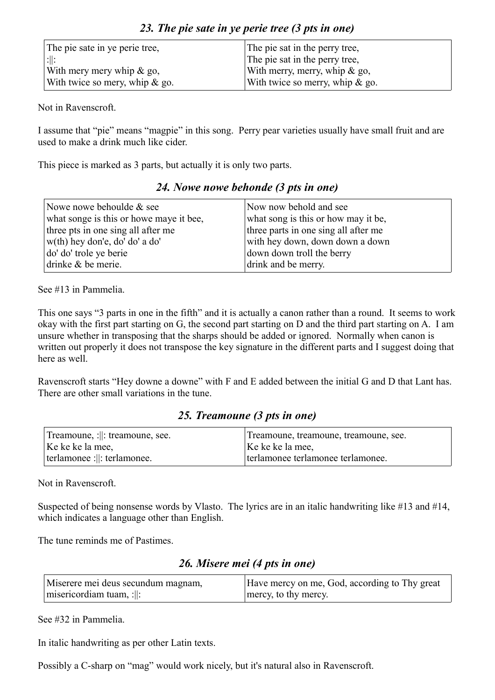| The pie sate in ye perie tree,    | The pie sat in the perry tree,     |  |
|-----------------------------------|------------------------------------|--|
| :  :                              | The pie sat in the perry tree,     |  |
| With mery mery whip $\&$ go,      | With merry, merry, whip $\&$ go,   |  |
| With twice so mery, whip $\&$ go. | With twice so merry, whip $\&$ go. |  |

Not in Ravenscroft.

I assume that "pie" means "magpie" in this song. Perry pear varieties usually have small fruit and are used to make a drink much like cider.

This piece is marked as 3 parts, but actually it is only two parts.

#### *24. Nowe nowe behonde (3 pts in one)*

| Nowe nowe behoulde & see                | Now now behold and see               |  |
|-----------------------------------------|--------------------------------------|--|
| what songe is this or howe maye it bee, | what song is this or how may it be,  |  |
| three pts in one sing all after me      | three parts in one sing all after me |  |
| w(th) hey don'e, do' do' a do'          | with hey down, down down a down      |  |
| do' do' trole ye berie                  | down down troll the berry            |  |
| drinke & be merie.                      | drink and be merry.                  |  |

See #13 in Pammelia.

This one says "3 parts in one in the fifth" and it is actually a canon rather than a round. It seems to work okay with the first part starting on G, the second part starting on D and the third part starting on A. I am unsure whether in transposing that the sharps should be added or ignored. Normally when canon is written out properly it does not transpose the key signature in the different parts and I suggest doing that here as well.

Ravenscroft starts "Hey downe a downe" with F and E added between the initial G and D that Lant has. There are other small variations in the tune.

### *25. Treamoune (3 pts in one)*

| Treamoune, :   : treamoune, see. | Treamoune, treamoune, treamoune, see. |
|----------------------------------|---------------------------------------|
| Ke ke ke la mee,                 | Ke ke ke la mee,                      |
| terlamonee :   : terlamonee.     | terlamonee terlamonee terlamonee.     |

Not in Ravenscroft.

Suspected of being nonsense words by Vlasto. The lyrics are in an italic handwriting like #13 and #14, which indicates a language other than English.

The tune reminds me of Pastimes.

### *26. Misere mei (4 pts in one)*

| Miserere mei deus secundum magnam,           | Have mercy on me, God, according to Thy great |
|----------------------------------------------|-----------------------------------------------|
| $\vert$ misericordiam tuam, : $\vert\vert$ : | mercy, to thy mercy.                          |

See #32 in Pammelia.

In italic handwriting as per other Latin texts.

Possibly a C-sharp on "mag" would work nicely, but it's natural also in Ravenscroft.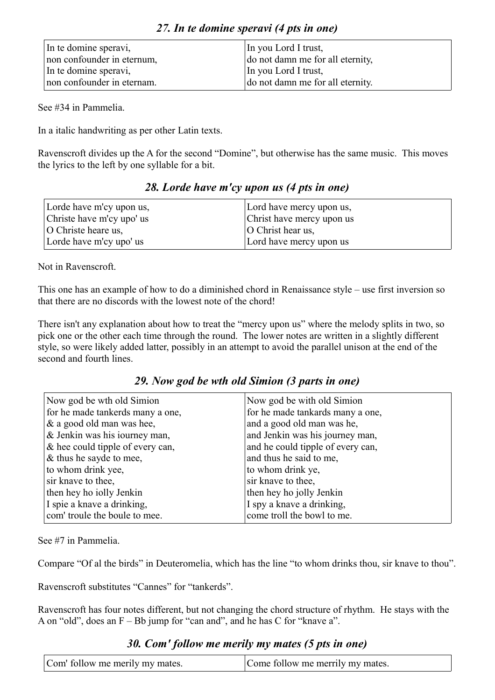| In te domine speravi,      | In you Lord I trust,             |
|----------------------------|----------------------------------|
| non confounder in eternum, | do not damn me for all eternity, |
| In te domine speravi,      | In you Lord I trust,             |
| non confounder in eternam. | do not damn me for all eternity. |

See #34 in Pammelia.

In a italic handwriting as per other Latin texts.

Ravenscroft divides up the A for the second "Domine", but otherwise has the same music. This moves the lyrics to the left by one syllable for a bit.

| Lorde have m'cy upon us,  | Lord have mercy upon us,  |
|---------------------------|---------------------------|
| Christe have m'cy upo' us | Christ have mercy upon us |
| O Christe heare us,       | $ O$ Christ hear us,      |
| Lorde have m'cy upo' us   | Lord have mercy upon us   |

*28. Lorde have m'cy upon us (4 pts in one)*

Not in Ravenscroft.

This one has an example of how to do a diminished chord in Renaissance style – use first inversion so that there are no discords with the lowest note of the chord!

There isn't any explanation about how to treat the "mercy upon us" where the melody splits in two, so pick one or the other each time through the round. The lower notes are written in a slightly different style, so were likely added latter, possibly in an attempt to avoid the parallel unison at the end of the second and fourth lines.

|  |  |  |  |  |  | 29. Now god be wth old Simion (3 parts in one) |  |  |  |  |  |
|--|--|--|--|--|--|------------------------------------------------|--|--|--|--|--|
|--|--|--|--|--|--|------------------------------------------------|--|--|--|--|--|

| Now god be wth old Simion        | Now god be with old Simion        |
|----------------------------------|-----------------------------------|
| for he made tankerds many a one, | for he made tankards many a one,  |
| & a good old man was hee,        | and a good old man was he,        |
| & Jenkin was his iourney man,    | and Jenkin was his journey man,   |
| & hee could tipple of every can, | and he could tipple of every can, |
| & thus he sayde to mee,          | and thus he said to me,           |
| to whom drink yee,               | to whom drink ye,                 |
| sir knave to thee,               | sir knave to thee,                |
| then hey ho iolly Jenkin         | then hey ho jolly Jenkin          |
| I spie a knave a drinking,       | I spy a knave a drinking,         |
| com' troule the boule to mee.    | come troll the bowl to me.        |

See #7 in Pammelia.

Compare "Of al the birds" in Deuteromelia, which has the line "to whom drinks thou, sir knave to thou".

Ravenscroft substitutes "Cannes" for "tankerds".

Ravenscroft has four notes different, but not changing the chord structure of rhythm. He stays with the A on "old", does an F – Bb jump for "can and", and he has C for "knave a".

#### *30. Com' follow me merily my mates (5 pts in one)*

| Com' follow me merily my mates. | Come follow me merrily my mates. |
|---------------------------------|----------------------------------|
|---------------------------------|----------------------------------|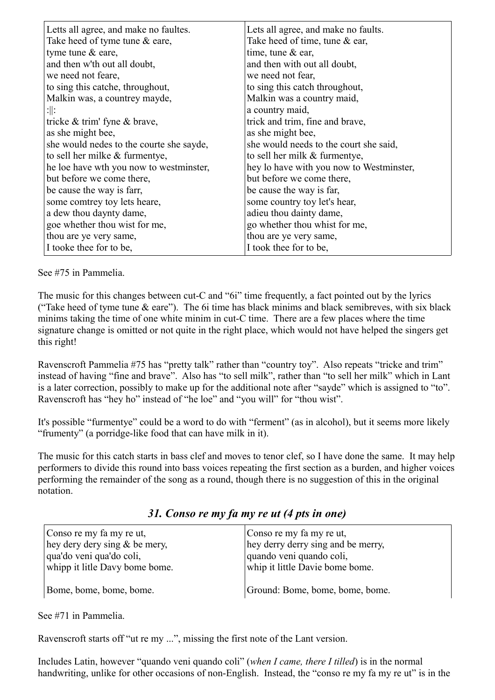| Letts all agree, and make no faultes.    | Lets all agree, and make no faults.      |
|------------------------------------------|------------------------------------------|
| Take heed of tyme tune & eare,           | Take heed of time, tune & ear,           |
| tyme tune & eare,                        | time, tune $&$ ear,                      |
| and then w'th out all doubt,             | and then with out all doubt,             |
| we need not feare,                       | we need not fear,                        |
| to sing this catche, throughout,         | to sing this catch throughout,           |
| Malkin was, a countrey mayde,            | Malkin was a country maid,               |
| :∥:                                      | a country maid,                          |
| tricke & trim' fyne & brave,             | trick and trim, fine and brave,          |
| as she might bee,                        | as she might bee,                        |
| she would nedes to the courte she sayde, | she would needs to the court she said,   |
| to sell her milke & furmentye,           | to sell her milk & furmentye,            |
| he loe have wth you now to westminster,  | hey lo have with you now to Westminster, |
| but before we come there,                | but before we come there,                |
| be cause the way is farr,                | be cause the way is far,                 |
| some comtrey toy lets heare,             | some country toy let's hear,             |
| a dew thou daynty dame,                  | adieu thou dainty dame,                  |
| goe whether thou wist for me,            | go whether thou whist for me,            |
| thou are ye very same,                   | thou are ye very same,                   |
| I tooke thee for to be,                  | I took thee for to be,                   |

See #75 in Pammelia.

The music for this changes between cut-C and "6i" time frequently, a fact pointed out by the lyrics ("Take heed of tyme tune  $\&$  eare"). The 6i time has black minims and black semibreves, with six black minims taking the time of one white minim in cut-C time. There are a few places where the time signature change is omitted or not quite in the right place, which would not have helped the singers get this right!

Ravenscroft Pammelia #75 has "pretty talk" rather than "country toy". Also repeats "tricke and trim" instead of having "fine and brave". Also has "to sell milk", rather than "to sell her milk" which in Lant is a later correction, possibly to make up for the additional note after "sayde" which is assigned to "to". Ravenscroft has "hey ho" instead of "he loe" and "you will" for "thou wist".

It's possible "furmentye" could be a word to do with "ferment" (as in alcohol), but it seems more likely "frumenty" (a porridge-like food that can have milk in it).

The music for this catch starts in bass clef and moves to tenor clef, so I have done the same. It may help performers to divide this round into bass voices repeating the first section as a burden, and higher voices performing the remainder of the song as a round, though there is no suggestion of this in the original notation.

*31. Conso re my fa my re ut (4 pts in one)*

| Conso re my fa my re ut,       | Conso re my fa my re ut,           |
|--------------------------------|------------------------------------|
| hey dery dery sing & be mery,  | hey derry derry sing and be merry, |
| qua'do veni qua'do coli,       | quando veni quando coli,           |
| whipp it litle Davy bome bome. | whip it little Davie bome bome.    |
| Bome, bome, bome, bome.        | Ground: Bome, bome, bome, bome.    |

See #71 in Pammelia.

Ravenscroft starts off "ut re my ...", missing the first note of the Lant version.

Includes Latin, however "quando veni quando coli" (*when I came, there I tilled*) is in the normal handwriting, unlike for other occasions of non-English. Instead, the "conso re my fa my re ut" is in the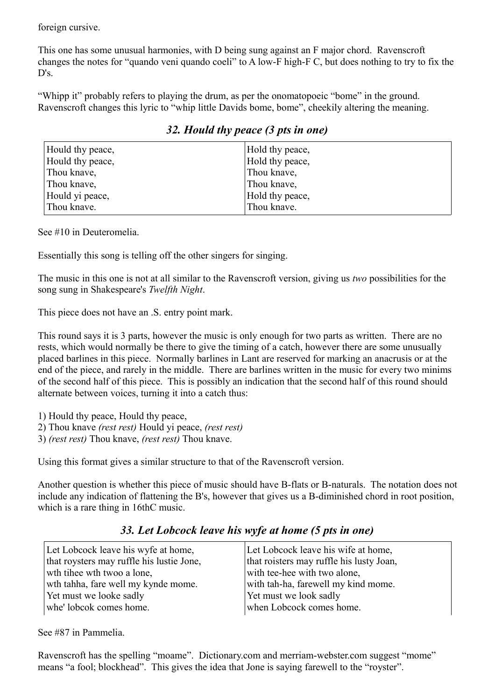foreign cursive.

This one has some unusual harmonies, with D being sung against an F major chord. Ravenscroft changes the notes for "quando veni quando coeli" to A low-F high-F C, but does nothing to try to fix the D's.

"Whipp it" probably refers to playing the drum, as per the onomatopoeic "bome" in the ground. Ravenscroft changes this lyric to "whip little Davids bome, bome", cheekily altering the meaning.

| Hould thy peace, | Hold thy peace, |
|------------------|-----------------|
| Hould thy peace, | Hold thy peace, |
| Thou knave,      | Thou knave,     |
| Thou knave,      | Thou knave,     |
| Hould yi peace,  | Hold thy peace, |
| Thou knave.      | Thou knave.     |

### *32. Hould thy peace (3 pts in one)*

See #10 in Deuteromelia.

Essentially this song is telling off the other singers for singing.

The music in this one is not at all similar to the Ravenscroft version, giving us *two* possibilities for the song sung in Shakespeare's *Twelfth Night*.

This piece does not have an .S. entry point mark.

This round says it is 3 parts, however the music is only enough for two parts as written. There are no rests, which would normally be there to give the timing of a catch, however there are some unusually placed barlines in this piece. Normally barlines in Lant are reserved for marking an anacrusis or at the end of the piece, and rarely in the middle. There are barlines written in the music for every two minims of the second half of this piece. This is possibly an indication that the second half of this round should alternate between voices, turning it into a catch thus:

1) Hould thy peace, Hould thy peace,

- 2) Thou knave *(rest rest)* Hould yi peace, *(rest rest)*
- 3) *(rest rest)* Thou knave, *(rest rest)* Thou knave.

Using this format gives a similar structure to that of the Ravenscroft version.

Another question is whether this piece of music should have B-flats or B-naturals. The notation does not include any indication of flattening the B's, however that gives us a B-diminished chord in root position, which is a rare thing in 16thC music.

| Let Lobcock leave his wyfe at home,       | Let Lobcock leave his wife at home,      |
|-------------------------------------------|------------------------------------------|
| that roysters may ruffle his lustie Jone, | that roisters may ruffle his lusty Joan, |
| wth tihee wth twoo a lone,                | with tee-hee with two alone,             |
| wth tahha, fare well my kynde mome.       | with tah-ha, farewell my kind mome.      |
| Yet must we looke sadly                   | Yet must we look sadly                   |
| whe' lobcok comes home.                   | when Lobcock comes home.                 |

#### *33. Let Lobcock leave his wyfe at home (5 pts in one)*

See #87 in Pammelia.

Ravenscroft has the spelling "moame". Dictionary.com and merriam-webster.com suggest "mome" means "a fool; blockhead". This gives the idea that Jone is saying farewell to the "royster".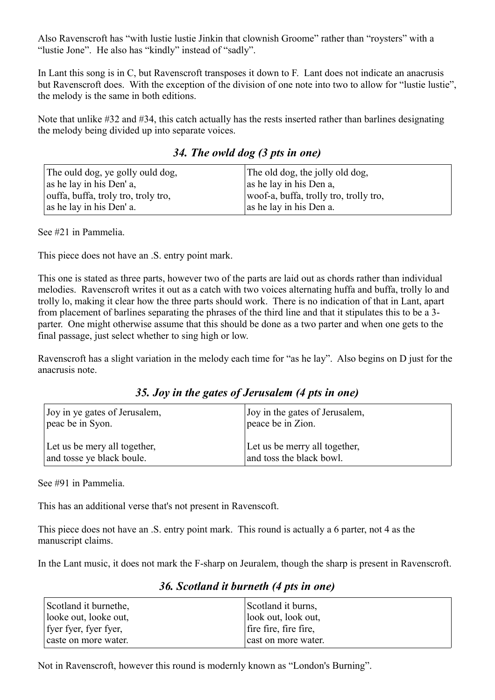Also Ravenscroft has "with lustie lustie Jinkin that clownish Groome" rather than "roysters" with a "lustie Jone". He also has "kindly" instead of "sadly".

In Lant this song is in C, but Ravenscroft transposes it down to F. Lant does not indicate an anacrusis but Ravenscroft does. With the exception of the division of one note into two to allow for "lustie lustie", the melody is the same in both editions.

Note that unlike #32 and #34, this catch actually has the rests inserted rather than barlines designating the melody being divided up into separate voices.

|  |  | 34. The owld dog (3 pts in one) |  |  |  |  |  |  |
|--|--|---------------------------------|--|--|--|--|--|--|
|--|--|---------------------------------|--|--|--|--|--|--|

| The ould dog, ye golly ould dog,    | The old dog, the jolly old dog,        |
|-------------------------------------|----------------------------------------|
| $\vert$ as he lay in his Den' a,    | as he lay in his Den a,                |
| ouffa, buffa, troly tro, troly tro, | woof-a, buffa, trolly tro, trolly tro, |
| as he lay in his Den' a.            | as he lay in his Den a.                |

See #21 in Pammelia.

This piece does not have an .S. entry point mark.

This one is stated as three parts, however two of the parts are laid out as chords rather than individual melodies. Ravenscroft writes it out as a catch with two voices alternating huffa and buffa, trolly lo and trolly lo, making it clear how the three parts should work. There is no indication of that in Lant, apart from placement of barlines separating the phrases of the third line and that it stipulates this to be a 3 parter. One might otherwise assume that this should be done as a two parter and when one gets to the final passage, just select whether to sing high or low.

Ravenscroft has a slight variation in the melody each time for "as he lay". Also begins on D just for the anacrusis note.

*35. Joy in the gates of Jerusalem (4 pts in one)*

| Joy in ye gates of Jerusalem, | Joy in the gates of Jerusalem, |
|-------------------------------|--------------------------------|
| peac be in Syon.              | peace be in Zion.              |
| Let us be mery all together,  | Let us be merry all together,  |
| and tosse ye black boule.     | and toss the black bowl.       |

See #91 in Pammelia.

This has an additional verse that's not present in Ravenscoft.

This piece does not have an .S. entry point mark. This round is actually a 6 parter, not 4 as the manuscript claims.

In the Lant music, it does not mark the F-sharp on Jeuralem, though the sharp is present in Ravenscroft.

### *36. Scotland it burneth (4 pts in one)*

| Scotland it burnethe, | Scotland it burns,    |
|-----------------------|-----------------------|
| looke out, looke out, | look out, look out,   |
| fyer fyer, fyer fyer, | fire fire, fire fire, |
| caste on more water.  | cast on more water.   |

Not in Ravenscroft, however this round is modernly known as "London's Burning".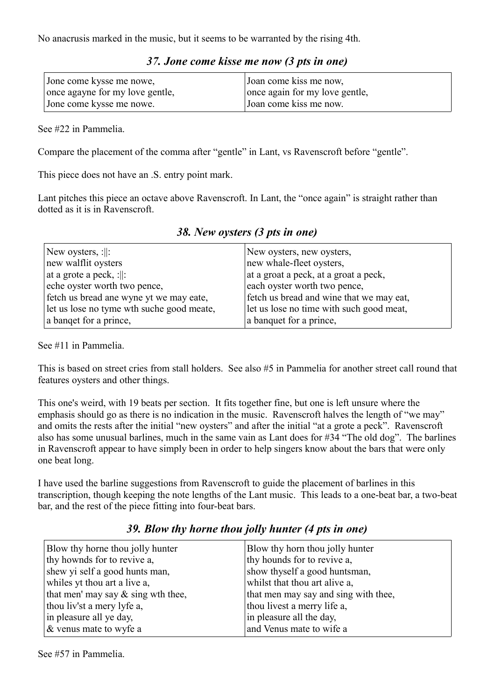No anacrusis marked in the music, but it seems to be warranted by the rising 4th.

| Jone come kysse me nowe,        | Joan come kiss me now,         |
|---------------------------------|--------------------------------|
| once agayne for my love gentle, | once again for my love gentle, |
| Jone come kysse me nowe.        | Joan come kiss me now.         |

#### *37. Jone come kisse me now (3 pts in one)*

See #22 in Pammelia.

Compare the placement of the comma after "gentle" in Lant, vs Ravenscroft before "gentle".

This piece does not have an .S. entry point mark.

Lant pitches this piece an octave above Ravenscroft. In Lant, the "once again" is straight rather than dotted as it is in Ravenscroft.

| New oysters, $:  :$                       | New oysters, new oysters,                |
|-------------------------------------------|------------------------------------------|
| new walflit oysters                       | new whale-fleet oysters,                 |
| at a grote a peck, :  :                   | at a groat a peck, at a groat a peck,    |
| eche oyster worth two pence,              | each oyster worth two pence,             |
| fetch us bread ane wyne yt we may eate,   | fetch us bread and wine that we may eat, |
| let us lose no tyme wth suche good meate, | let us lose no time with such good meat, |
| a banget for a prince,                    | a banquet for a prince,                  |

*38. New oysters (3 pts in one)*

See #11 in Pammelia.

This is based on street cries from stall holders. See also #5 in Pammelia for another street call round that features oysters and other things.

This one's weird, with 19 beats per section. It fits together fine, but one is left unsure where the emphasis should go as there is no indication in the music. Ravenscroft halves the length of "we may" and omits the rests after the initial "new oysters" and after the initial "at a grote a peck". Ravenscroft also has some unusual barlines, much in the same vain as Lant does for #34 "The old dog". The barlines in Ravenscroft appear to have simply been in order to help singers know about the bars that were only one beat long.

I have used the barline suggestions from Ravenscroft to guide the placement of barlines in this transcription, though keeping the note lengths of the Lant music. This leads to a one-beat bar, a two-beat bar, and the rest of the piece fitting into four-beat bars.

| Blow thy horne thou jolly hunter<br>thy hownds for to revive a,<br>shew yi self a good hunts man, | Blow thy horn thou jolly hunter<br>thy hounds for to revive a,<br>show thyself a good huntsman, |
|---------------------------------------------------------------------------------------------------|-------------------------------------------------------------------------------------------------|
| whiles yt thou art a live a,                                                                      | whilst that thou art alive a,                                                                   |
| that men' may say $\&$ sing wth thee,                                                             | that men may say and sing with thee,                                                            |
| thou liv'st a mery lyfe a,                                                                        | thou livest a merry life a,                                                                     |
| in pleasure all ye day,                                                                           | in pleasure all the day,                                                                        |
| & venus mate to wyfe a                                                                            | and Venus mate to wife a                                                                        |

#### *39. Blow thy horne thou jolly hunter (4 pts in one)*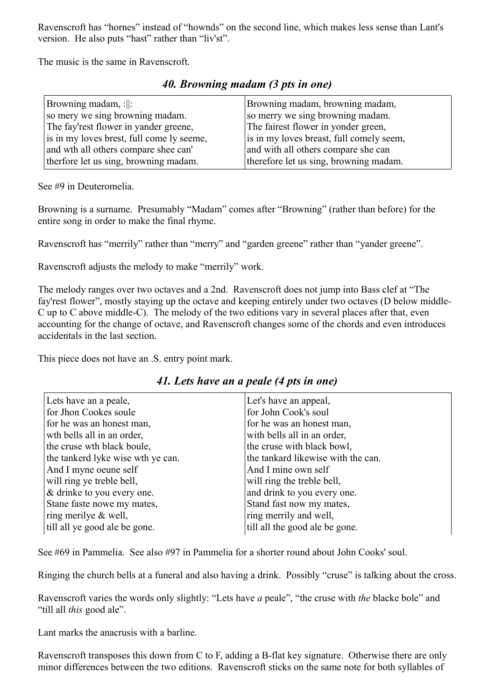Ravenscroft has "hornes" instead of "hownds" on the second line, which makes less sense than Lant's version. He also puts "hast" rather than "liv'st".

The music is the same in Ravenscroft.

| Browning madam, :  :                      | Browning madam, browning madam,          |
|-------------------------------------------|------------------------------------------|
| so mery we sing browning madam.           | so merry we sing browning madam.         |
| The fay'rest flower in yander greene,     | The fairest flower in yonder green,      |
| is in my loves brest, full come ly seeme, | is in my loves breast, full comely seem, |
| and wth all others compare shee can'      | and with all others compare she can      |
| therfore let us sing, browning madam.     | therefore let us sing, browning madam.   |

#### *40. Browning madam (3 pts in one)*

See #9 in Deuteromelia.

Browning is a surname. Presumably "Madam" comes after "Browning" (rather than before) for the entire song in order to make the final rhyme.

Ravenscroft has "merrily" rather than "merry" and "garden greene" rather than "yander greene".

Ravenscroft adjusts the melody to make "merrily" work.

The melody ranges over two octaves and a 2nd. Ravenscroft does not jump into Bass clef at "The fay'rest flower", mostly staying up the octave and keeping entirely under two octaves (D below middle-C up to C above middle-C). The melody of the two editions vary in several places after that, even accounting for the change of octave, and Ravenscroft changes some of the chords and even introduces accidentals in the last section.

This piece does not have an .S. entry point mark.

#### Lets have an a peale, for Jhon Cookes soule for he was an honest man, wth bells all in an order, the cruse wth black boule, the tankerd lyke wise wth ye can. And I myne oeune self will ring ye treble bell, & drinke to you every one. Stane faste nowe my mates, ring merilye & well, till all ye good ale be gone. Let's have an appeal, for John Cook's soul for he was an honest man, with bells all in an order. the cruse with black bowl, the tankard likewise with the can. And I mine own self will ring the treble bell, and drink to you every one. Stand fast now my mates, ring merrily and well, till all the good ale be gone.

#### *41. Lets have an a peale (4 pts in one)*

See #69 in Pammelia. See also #97 in Pammelia for a shorter round about John Cooks' soul.

Ringing the church bells at a funeral and also having a drink. Possibly "cruse" is talking about the cross.

Ravenscroft varies the words only slightly: "Lets have *a* peale", "the cruse with *the* blacke bole" and "till all *this* good ale".

Lant marks the anacrusis with a barline.

Ravenscroft transposes this down from C to F, adding a B-flat key signature. Otherwise there are only minor differences between the two editions. Ravenscroft sticks on the same note for both syllables of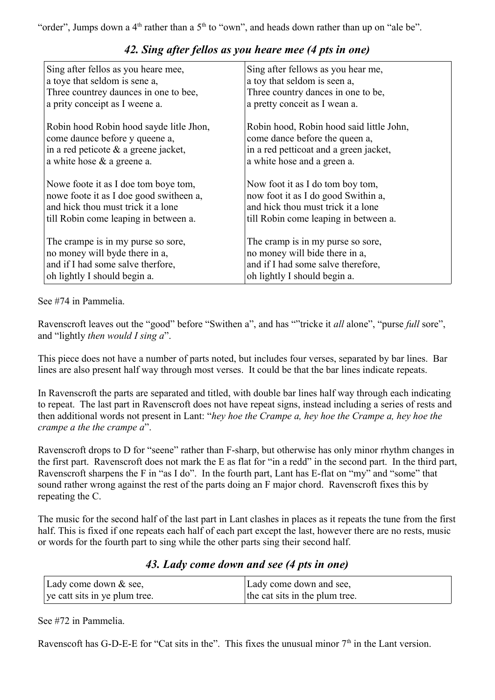"order", Jumps down a  $4<sup>th</sup>$  rather than a  $5<sup>th</sup>$  to "own", and heads down rather than up on "ale be".

| Sing after fellos as you heare mee,     | Sing after fellows as you hear me,       |
|-----------------------------------------|------------------------------------------|
| a toye that seldom is sene a,           | a toy that seldom is seen a,             |
| Three countrey daunces in one to bee,   | Three country dances in one to be,       |
| a prity conceipt as I weene a.          | a pretty conceit as I wean a.            |
| Robin hood Robin hood sayde litle Jhon, | Robin hood, Robin hood said little John, |
| come daunce before y queene a,          | come dance before the queen a,           |
| in a red peticote $\&$ a greene jacket, | in a red petticoat and a green jacket,   |
| a white hose & a greene a.              | a white hose and a green a.              |
| Nowe foote it as I doe tom boye tom,    | Now foot it as I do tom boy tom,         |
| nowe foote it as I doe good switheen a, | now foot it as I do good Swithin a,      |
| and hick thou must trick it a lone      | and hick thou must trick it a lone       |
| till Robin come leaping in between a.   | till Robin come leaping in between a.    |
| The crampe is in my purse so sore,      | The cramp is in my purse so sore,        |
| no money will byde there in a,          | no money will bide there in a,           |
| and if I had some salve therfore,       | and if I had some salve therefore,       |
| oh lightly I should begin a.            | oh lightly I should begin a.             |

### *42. Sing after fellos as you heare mee (4 pts in one)*

#### See #74 in Pammelia.

Ravenscroft leaves out the "good" before "Swithen a", and has ""tricke it *all* alone", "purse *full* sore", and "lightly *then would I sing a*".

This piece does not have a number of parts noted, but includes four verses, separated by bar lines. Bar lines are also present half way through most verses. It could be that the bar lines indicate repeats.

In Ravenscroft the parts are separated and titled, with double bar lines half way through each indicating to repeat. The last part in Ravenscroft does not have repeat signs, instead including a series of rests and then additional words not present in Lant: "*hey hoe the Crampe a, hey hoe the Crampe a, hey hoe the crampe a the the crampe a*".

Ravenscroft drops to D for "seene" rather than F-sharp, but otherwise has only minor rhythm changes in the first part. Ravenscroft does not mark the E as flat for "in a redd" in the second part. In the third part, Ravenscroft sharpens the F in "as I do". In the fourth part, Lant has E-flat on "my" and "some" that sound rather wrong against the rest of the parts doing an F major chord. Ravenscroft fixes this by repeating the C.

The music for the second half of the last part in Lant clashes in places as it repeats the tune from the first half. This is fixed if one repeats each half of each part except the last, however there are no rests, music or words for the fourth part to sing while the other parts sing their second half.

### *43. Lady come down and see (4 pts in one)*

| Lady come down $&$ see,       | Lady come down and see,        |
|-------------------------------|--------------------------------|
| ye catt sits in ye plum tree. | the cat sits in the plum tree. |

See #72 in Pammelia.

Ravenscoft has G-D-E-E for "Cat sits in the". This fixes the unusual minor  $7<sup>th</sup>$  in the Lant version.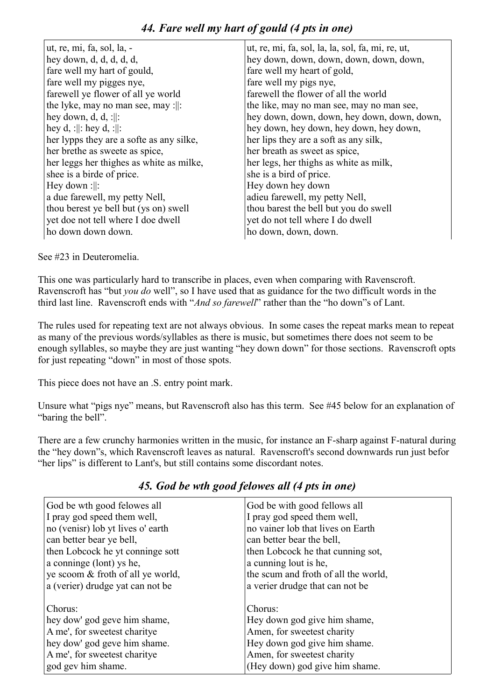### *44. Fare well my hart of gould (4 pts in one)*

| ut, re, mi, fa, sol, la, -               | ut, re, mi, fa, sol, la, la, sol, fa, mi, re, ut, |
|------------------------------------------|---------------------------------------------------|
| hey down, $d, d, d, d, d$ ,              | hey down, down, down, down, down, down,           |
| fare well my hart of gould,              | fare well my heart of gold,                       |
| fare well my pigges nye,                 | fare well my pigs nye,                            |
| farewell ye flower of all ye world       | farewell the flower of all the world              |
| the lyke, may no man see, may :  :       | the like, may no man see, may no man see,         |
| hey down, d, d, :  :                     | hey down, down, down, hey down, down, down,       |
| hey d, :  : hey d, :  :                  | hey down, hey down, hey down, hey down,           |
| her lypps they are a softe as any silke, | her lips they are a soft as any silk,             |
| her brethe as sweete as spice,           | her breath as sweet as spice,                     |
| her leggs her thighes as white as milke, | her legs, her thighs as white as milk,            |
| shee is a birde of price.                | she is a bird of price.                           |
| Hey down :  :                            | Hey down hey down                                 |
| a due farewell, my petty Nell,           | adieu farewell, my petty Nell,                    |
| thou berest ye bell but (ys on) swell    | thou barest the bell but you do swell             |
| yet doe not tell where I doe dwell       | yet do not tell where I do dwell                  |
| ho down down down.                       | ho down, down, down.                              |

See #23 in Deuteromelia.

This one was particularly hard to transcribe in places, even when comparing with Ravenscroft. Ravenscroft has "but *you do* well", so I have used that as guidance for the two difficult words in the third last line. Ravenscroft ends with "*And so farewell*" rather than the "ho down"s of Lant.

The rules used for repeating text are not always obvious. In some cases the repeat marks mean to repeat as many of the previous words/syllables as there is music, but sometimes there does not seem to be enough syllables, so maybe they are just wanting "hey down down" for those sections. Ravenscroft opts for just repeating "down" in most of those spots.

This piece does not have an .S. entry point mark.

Unsure what "pigs nye" means, but Ravenscroft also has this term. See #45 below for an explanation of "baring the bell".

There are a few crunchy harmonies written in the music, for instance an F-sharp against F-natural during the "hey down"s, which Ravenscroft leaves as natural. Ravenscroft's second downwards run just befor "her lips" is different to Lant's, but still contains some discordant notes.

| God be wth good felowes all       | God be with good fellows all         |
|-----------------------------------|--------------------------------------|
| I pray god speed them well,       | I pray god speed them well,          |
| no (venisr) lob yt lives o' earth | no vainer lob that lives on Earth    |
| can better bear ye bell,          | can better bear the bell,            |
| then Lobcock he yt conninge sott  | then Lobcock he that cunning sot,    |
| a conninge (lont) ys he,          | a cunning lout is he,                |
| ye scoom & froth of all ye world, | the scum and froth of all the world, |
| a (verier) drudge yat can not be  | a verier drudge that can not be      |
| Chorus:                           | Chorus:                              |
| hey dow' god geve him shame,      | Hey down god give him shame,         |
| A me', for sweetest charitye      | Amen, for sweetest charity           |
| hey dow' god geve him shame.      | Hey down god give him shame.         |
| A me', for sweetest charitye      | Amen, for sweetest charity           |
| god gev him shame.                | (Hey down) god give him shame.       |

### *45. God be wth good felowes all (4 pts in one)*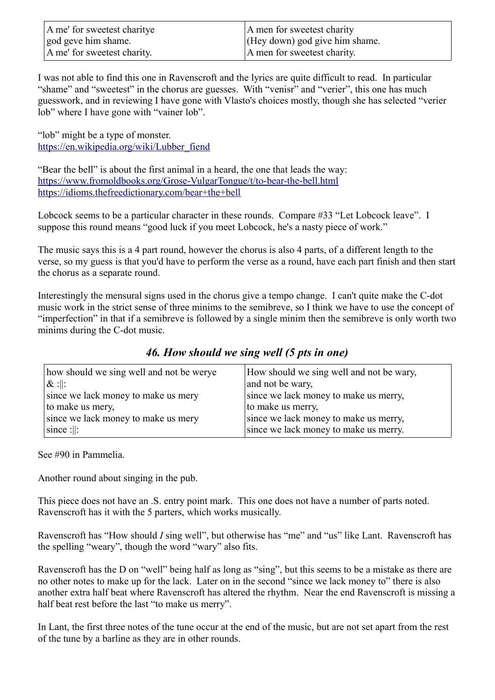| A me' for sweetest charitye | A men for sweetest charity         |
|-----------------------------|------------------------------------|
| god geve him shame.         | $ $ (Hey down) god give him shame. |
| A me' for sweetest charity. | A men for sweetest charity.        |

I was not able to find this one in Ravenscroft and the lyrics are quite difficult to read. In particular "shame" and "sweetest" in the chorus are guesses. With "venisr" and "verier", this one has much guesswork, and in reviewing I have gone with Vlasto's choices mostly, though she has selected "verier lob" where I have gone with "vainer lob".

"lob" might be a type of monster. [https://en.wikipedia.org/wiki/Lubber\\_fiend](https://en.wikipedia.org/wiki/Lubber_fiend)

"Bear the bell" is about the first animal in a heard, the one that leads the way: <https://www.fromoldbooks.org/Grose-VulgarTongue/t/to-bear-the-bell.html> <https://idioms.thefreedictionary.com/bear+the+bell>

Lobcock seems to be a particular character in these rounds. Compare #33 "Let Lobcock leave". I suppose this round means "good luck if you meet Lobcock, he's a nasty piece of work."

The music says this is a 4 part round, however the chorus is also 4 parts, of a different length to the verse, so my guess is that you'd have to perform the verse as a round, have each part finish and then start the chorus as a separate round.

Interestingly the mensural signs used in the chorus give a tempo change. I can't quite make the C-dot music work in the strict sense of three minims to the semibreve, so I think we have to use the concept of "imperfection" in that if a semibreve is followed by a single minim then the semibreve is only worth two minims during the C-dot music.

#### *46. How should we sing well (5 pts in one)*

| how should we sing well and not be werye | How should we sing well and not be wary, |
|------------------------------------------|------------------------------------------|
| $\&$ :  :                                | and not be wary,                         |
| since we lack money to make us mery      | since we lack money to make us merry,    |
| to make us mery,                         | to make us merry,                        |
| since we lack money to make us mery      | since we lack money to make us merry,    |
| $\vert$ since : $\vert$ :                | since we lack money to make us merry.    |

See #90 in Pammelia.

Another round about singing in the pub.

This piece does not have an .S. entry point mark. This one does not have a number of parts noted. Ravenscroft has it with the 5 parters, which works musically.

Ravenscroft has "How should *I* sing well", but otherwise has "me" and "us" like Lant. Ravenscroft has the spelling "weary", though the word "wary" also fits.

Ravenscroft has the D on "well" being half as long as "sing", but this seems to be a mistake as there are no other notes to make up for the lack. Later on in the second "since we lack money to" there is also another extra half beat where Ravenscroft has altered the rhythm. Near the end Ravenscroft is missing a half beat rest before the last "to make us merry".

In Lant, the first three notes of the tune occur at the end of the music, but are not set apart from the rest of the tune by a barline as they are in other rounds.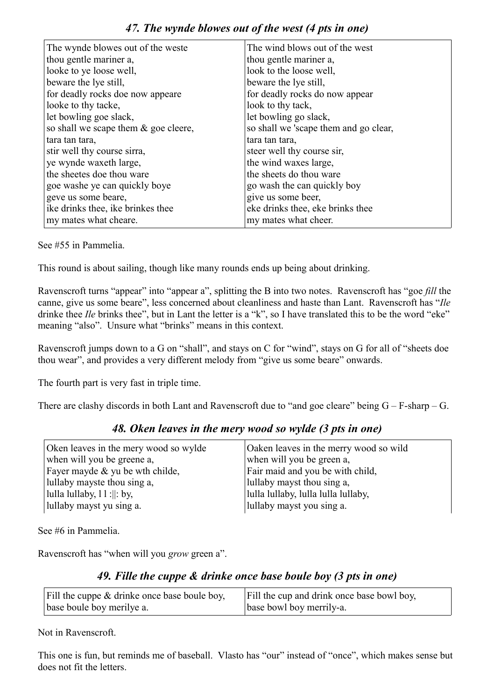| The wynde blowes out of the weste    | The wind blows out of the west        |
|--------------------------------------|---------------------------------------|
| thou gentle mariner a,               | thou gentle mariner a,                |
| looke to ye loose well,              | look to the loose well,               |
| beware the lye still,                | beware the lye still,                 |
| for deadly rocks doe now appeare     | for deadly rocks do now appear        |
| looke to thy tacke,                  | look to thy tack,                     |
| let bowling goe slack,               | let bowling go slack,                 |
| so shall we scape them & goe cleere, | so shall we 'scape them and go clear, |
| tara tan tara,                       | tara tan tara,                        |
| stir well thy course sirra,          | steer well thy course sir,            |
| ye wynde waxeth large,               | the wind waxes large,                 |
| the sheetes doe thou ware            | the sheets do thou ware               |
| goe washe ye can quickly boye        | go wash the can quickly boy           |
| geve us some beare,                  | give us some beer,                    |
| ike drinks thee, ike brinkes thee    | eke drinks thee, eke brinks thee      |
| my mates what cheare.                | my mates what cheer.                  |
|                                      |                                       |

See #55 in Pammelia.

This round is about sailing, though like many rounds ends up being about drinking.

Ravenscroft turns "appear" into "appear a", splitting the B into two notes. Ravenscroft has "goe *fill* the canne, give us some beare", less concerned about cleanliness and haste than Lant. Ravenscroft has "*Ile* drinke thee *Ile* brinks thee", but in Lant the letter is a "k", so I have translated this to be the word "eke" meaning "also". Unsure what "brinks" means in this context.

Ravenscroft jumps down to a G on "shall", and stays on C for "wind", stays on G for all of "sheets doe thou wear", and provides a very different melody from "give us some beare" onwards.

The fourth part is very fast in triple time.

There are clashy discords in both Lant and Ravenscroft due to "and goe cleare" being  $G - F$ -sharp – G.

#### *48. Oken leaves in the mery wood so wylde (3 pts in one)*

| Oken leaves in the mery wood so wylde | Oaken leaves in the merry wood so wild |
|---------------------------------------|----------------------------------------|
| when will you be greene a,            | when will you be green a,              |
| Fayer mayde & yu be wth childe,       | Fair maid and you be with child,       |
| lullaby mayste thou sing a,           | lullaby mayst thou sing a,             |
| lulla lullaby, $11:  :$ by,           | lulla lullaby, lulla lulla lullaby,    |
| lullaby mayst yu sing a.              | lullaby mayst you sing a.              |

See #6 in Pammelia.

Ravenscroft has "when will you *grow* green a".

#### *49. Fille the cuppe & drinke once base boule boy (3 pts in one)*

| Fill the cuppe & drinke once base boule boy, | Fill the cup and drink once base bowl boy, |
|----------------------------------------------|--------------------------------------------|
| base boule boy merilye a.                    | base bowl boy merrily-a.                   |

Not in Ravenscroft.

This one is fun, but reminds me of baseball. Vlasto has "our" instead of "once", which makes sense but does not fit the letters.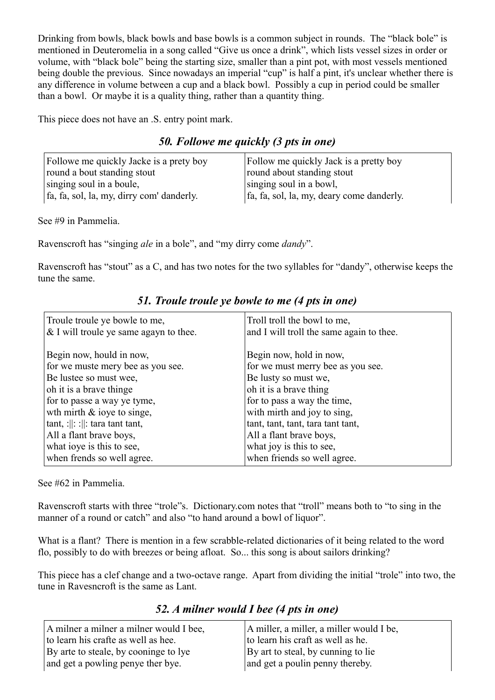Drinking from bowls, black bowls and base bowls is a common subject in rounds. The "black bole" is mentioned in Deuteromelia in a song called "Give us once a drink", which lists vessel sizes in order or volume, with "black bole" being the starting size, smaller than a pint pot, with most vessels mentioned being double the previous. Since nowadays an imperial "cup" is half a pint, it's unclear whether there is any difference in volume between a cup and a black bowl. Possibly a cup in period could be smaller than a bowl. Or maybe it is a quality thing, rather than a quantity thing.

This piece does not have an .S. entry point mark.

#### *50. Followe me quickly (3 pts in one)*

| Followe me quickly Jacke is a prety boy   | Follow me quickly Jack is a pretty boy    |
|-------------------------------------------|-------------------------------------------|
| round a bout standing stout               | round about standing stout                |
| singing soul in a boule,                  | singing soul in a bowl,                   |
| fa, fa, sol, la, my, dirry com' danderly. | fa, fa, sol, la, my, deary come danderly. |

See #9 in Pammelia.

Ravenscroft has "singing *ale* in a bole", and "my dirry come *dandy*".

Ravenscroft has "stout" as a C, and has two notes for the two syllables for "dandy", otherwise keeps the tune the same.

| Troule troule ye bowle to me,<br>& I will troule ye same agayn to thee. | Troll troll the bowl to me,<br>and I will troll the same again to thee. |
|-------------------------------------------------------------------------|-------------------------------------------------------------------------|
| Begin now, hould in now,                                                | Begin now, hold in now,                                                 |
| for we muste mery bee as you see.                                       | for we must merry bee as you see.                                       |
| Be lustee so must wee,                                                  | Be lusty so must we,                                                    |
| oh it is a brave thinge                                                 | oh it is a brave thing                                                  |
| for to passe a way ye tyme,                                             | for to pass a way the time,                                             |
| wth mirth $\&$ ioye to singe,                                           | with mirth and joy to sing,                                             |
| tant, : $\ \cdot\ $ : tara tant tant,                                   | tant, tant, tant, tara tant tant,                                       |
| All a flant brave boys,                                                 | All a flant brave boys,                                                 |
| what ioye is this to see,                                               | what joy is this to see,                                                |
| when frends so well agree.                                              | when friends so well agree.                                             |

*51. Troule troule ye bowle to me (4 pts in one)*

See #62 in Pammelia.

Ravenscroft starts with three "trole"s. Dictionary.com notes that "troll" means both to "to sing in the manner of a round or catch" and also "to hand around a bowl of liquor".

What is a flant? There is mention in a few scrabble-related dictionaries of it being related to the word flo, possibly to do with breezes or being afloat. So... this song is about sailors drinking?

This piece has a clef change and a two-octave range. Apart from dividing the initial "trole" into two, the tune in Ravesncroft is the same as Lant.

*52. A milner would I bee (4 pts in one)*

| A milner a milner a milner would I bee, | A miller, a miller, a miller would I be, |
|-----------------------------------------|------------------------------------------|
| to learn his crafte as well as hee.     | to learn his craft as well as he.        |
| By arte to steale, by cooninge to lye   | By art to steal, by cunning to lie       |
| and get a powling penye ther bye.       | and get a poulin penny thereby.          |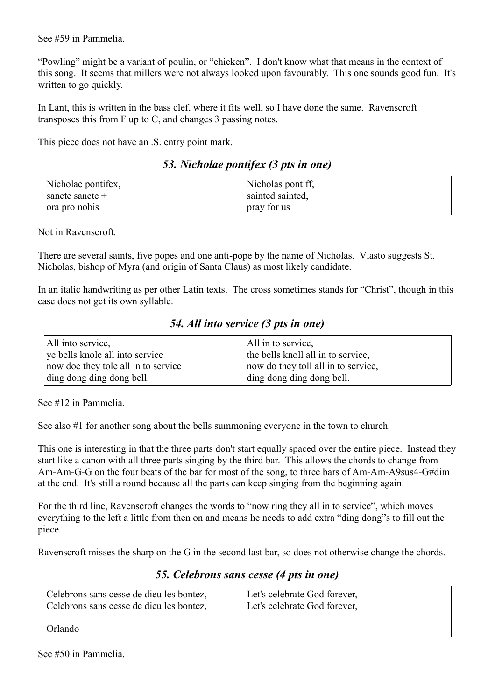See #59 in Pammelia.

"Powling" might be a variant of poulin, or "chicken". I don't know what that means in the context of this song. It seems that millers were not always looked upon favourably. This one sounds good fun. It's written to go quickly.

In Lant, this is written in the bass clef, where it fits well, so I have done the same. Ravenscroft transposes this from F up to C, and changes 3 passing notes.

This piece does not have an .S. entry point mark.

| 53. Nicholae pontifex (3 pts in one) |  |  |
|--------------------------------------|--|--|
|                                      |  |  |

| Nicholae pontifex,         | Nicholas pontiff, |
|----------------------------|-------------------|
| $\frac{1}{2}$ sancte $\pm$ | sainted sainted,  |
| $\vert$ ora pro nobis      | pray for us       |

Not in Ravenscroft.

There are several saints, five popes and one anti-pope by the name of Nicholas. Vlasto suggests St. Nicholas, bishop of Myra (and origin of Santa Claus) as most likely candidate.

In an italic handwriting as per other Latin texts. The cross sometimes stands for "Christ", though in this case does not get its own syllable.

|  | 54. All into service (3 pts in one) |  |  |  |
|--|-------------------------------------|--|--|--|
|  |                                     |  |  |  |

| All into service,                   | All in to service,                  |
|-------------------------------------|-------------------------------------|
| ve bells knole all into service     | the bells knoll all in to service,  |
| now doe they tole all in to service | now do they toll all in to service, |
| ding dong ding dong bell.           | ding dong ding dong bell.           |

See #12 in Pammelia.

See also #1 for another song about the bells summoning everyone in the town to church.

This one is interesting in that the three parts don't start equally spaced over the entire piece. Instead they start like a canon with all three parts singing by the third bar. This allows the chords to change from Am-Am-G-G on the four beats of the bar for most of the song, to three bars of Am-Am-A9sus4-G#dim at the end. It's still a round because all the parts can keep singing from the beginning again.

For the third line, Ravenscroft changes the words to "now ring they all in to service", which moves everything to the left a little from then on and means he needs to add extra "ding dong"s to fill out the piece.

Ravenscroft misses the sharp on the G in the second last bar, so does not otherwise change the chords.

| Celebrons sans cesse de dieu les bontez, | Let's celebrate God forever, |
|------------------------------------------|------------------------------|
| Celebrons sans cesse de dieu les bontez, | Let's celebrate God forever, |
| Orlando                                  |                              |

#### *55. Celebrons sans cesse (4 pts in one)*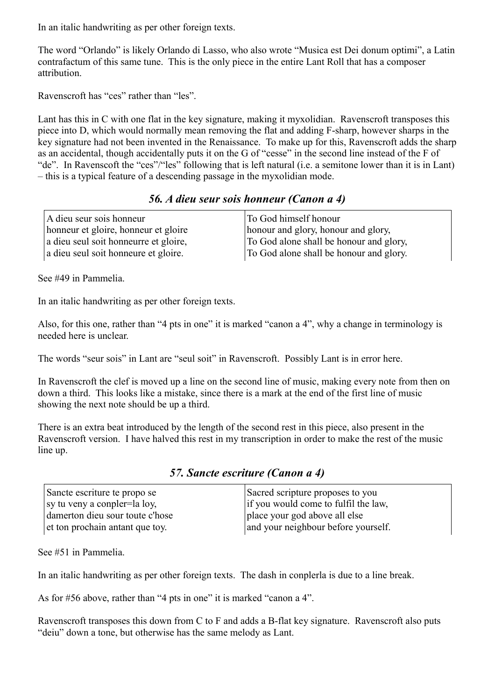In an italic handwriting as per other foreign texts.

The word "Orlando" is likely Orlando di Lasso, who also wrote "Musica est Dei donum optimi", a Latin contrafactum of this same tune. This is the only piece in the entire Lant Roll that has a composer attribution.

Ravenscroft has "ces" rather than "les".

Lant has this in C with one flat in the key signature, making it myxolidian. Ravenscroft transposes this piece into D, which would normally mean removing the flat and adding F-sharp, however sharps in the key signature had not been invented in the Renaissance. To make up for this, Ravenscroft adds the sharp as an accidental, though accidentally puts it on the G of "cesse" in the second line instead of the F of "de". In Ravenscoft the "ces"/"les" following that is left natural (i.e. a semitone lower than it is in Lant) – this is a typical feature of a descending passage in the myxolidian mode.

#### *56. A dieu seur sois honneur (Canon a 4)*

| A dieu seur sois honneur              | To God himself honour                   |
|---------------------------------------|-----------------------------------------|
| honneur et gloire, honneur et gloire  | honour and glory, honour and glory,     |
| a dieu seul soit honneurre et gloire, | To God alone shall be honour and glory, |
| a dieu seul soit honneure et gloire.  | To God alone shall be honour and glory. |

See #49 in Pammelia.

In an italic handwriting as per other foreign texts.

Also, for this one, rather than "4 pts in one" it is marked "canon a 4", why a change in terminology is needed here is unclear.

The words "seur sois" in Lant are "seul soit" in Ravenscroft. Possibly Lant is in error here.

In Ravenscroft the clef is moved up a line on the second line of music, making every note from then on down a third. This looks like a mistake, since there is a mark at the end of the first line of music showing the next note should be up a third.

There is an extra beat introduced by the length of the second rest in this piece, also present in the Ravenscroft version. I have halved this rest in my transcription in order to make the rest of the music line up.

| Sancte escriture te propo se    | Sacred scripture proposes to you     |
|---------------------------------|--------------------------------------|
| sy tu veny a conpler=la loy,    | if you would come to fulfil the law, |
| damerton dieu sour toute c'hose | place your god above all else        |
| et ton prochain antant que toy. | and your neighbour before yourself.  |

*57. Sancte escriture (Canon a 4)*

See #51 in Pammelia.

In an italic handwriting as per other foreign texts. The dash in conplerla is due to a line break.

As for #56 above, rather than "4 pts in one" it is marked "canon a 4".

Ravenscroft transposes this down from C to F and adds a B-flat key signature. Ravenscroft also puts "deiu" down a tone, but otherwise has the same melody as Lant.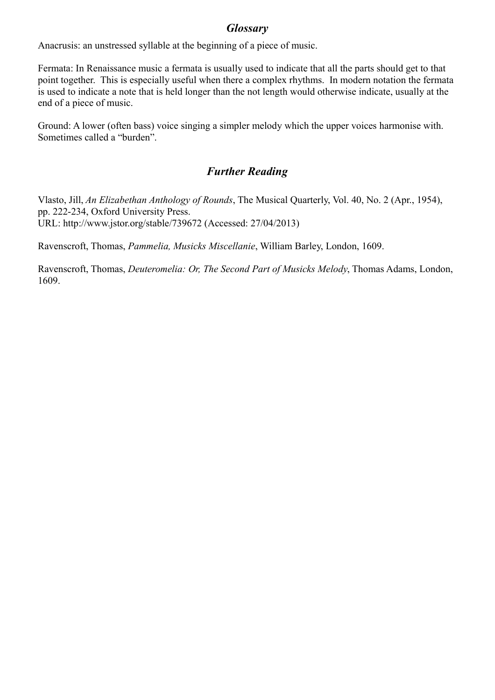#### *Glossary*

Anacrusis: an unstressed syllable at the beginning of a piece of music.

Fermata: In Renaissance music a fermata is usually used to indicate that all the parts should get to that point together. This is especially useful when there a complex rhythms. In modern notation the fermata is used to indicate a note that is held longer than the not length would otherwise indicate, usually at the end of a piece of music.

Ground: A lower (often bass) voice singing a simpler melody which the upper voices harmonise with. Sometimes called a "burden".

### *Further Reading*

Vlasto, Jill, *An Elizabethan Anthology of Rounds*, The Musical Quarterly, Vol. 40, No. 2 (Apr., 1954), pp. 222-234, Oxford University Press. URL: http://www.jstor.org/stable/739672 (Accessed: 27/04/2013)

Ravenscroft, Thomas, *Pammelia, Musicks Miscellanie*, William Barley, London, 1609.

Ravenscroft, Thomas, *Deuteromelia: Or, The Second Part of Musicks Melody*, Thomas Adams, London, 1609.